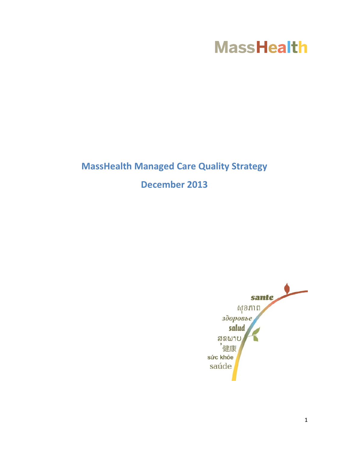# **MassHealth**

# **MassHealth Managed Care Quality Strategy December 2013**

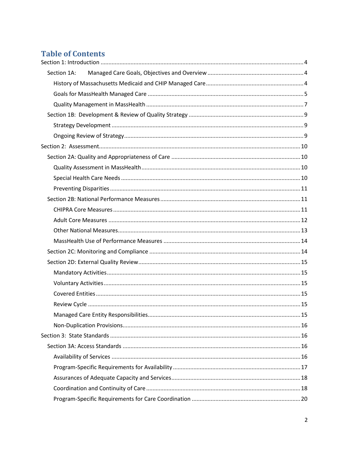# **Table of Contents**

| Section 1A: |  |
|-------------|--|
|             |  |
|             |  |
|             |  |
|             |  |
|             |  |
|             |  |
|             |  |
|             |  |
|             |  |
|             |  |
|             |  |
|             |  |
|             |  |
|             |  |
|             |  |
|             |  |
|             |  |
|             |  |
|             |  |
|             |  |
|             |  |
|             |  |
|             |  |
|             |  |
|             |  |
|             |  |
|             |  |
|             |  |
|             |  |
|             |  |
|             |  |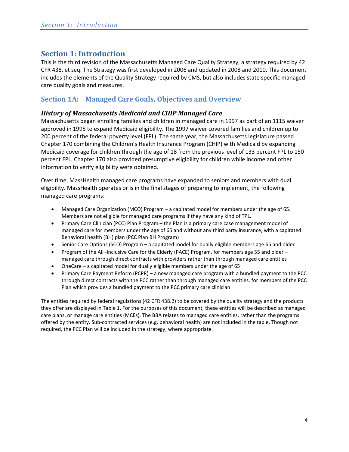## <span id="page-3-0"></span>**Section 1: Introduction**

This is the third revision of the Massachusetts Managed Care Quality Strategy, a strategy required by 42 CFR 438, et seq. The Strategy was first developed in 2006 and updated in 2008 and 2010. This document includes the elements of the Quality Strategy required by CMS, but also includes state specific managed care quality goals and measures.

## <span id="page-3-1"></span>**Section 1A: Managed Care Goals, Objectives and Overview**

## <span id="page-3-2"></span>*History of Massachusetts Medicaid and CHIP Managed Care*

Massachusetts began enrolling families and children in managed care in 1997 as part of an 1115 waiver approved in 1995 to expand Medicaid eligibility. The 1997 waiver covered families and children up to 200 percent of the federal poverty level (FPL). The same year, the Massachusetts legislature passed Chapter 170 combining the Children's Health Insurance Program (CHIP) with Medicaid by expanding Medicaid coverage for children through the age of 18 from the previous level of 133 percent FPL to 150 percent FPL. Chapter 170 also provided presumptive eligibility for children while income and other information to verify eligibility were obtained.

Over time, MassHealth managed care programs have expanded to seniors and members with dual eligibility. MassHealth operates or is in the final stages of preparing to implement, the following managed care programs:

- Managed Care Organization (MCO) Program a capitated model for members under the age of 65. Members are not eligible for managed care programs if they have any kind of TPL.
- Primary Care Clinician (PCC) Plan Program the Plan is a primary care case management model of managed care for members under the age of 65 and without any third party insurance, with a capitated Behavioral health (BH) plan (PCC Plan BH Program)
- Senior Care Options (SCO) Program a capitated model for dually eligible members age 65 and older
- Program of the All-Inclusive Care for the Elderly (PACE) Program, for members age 55 and older managed care through direct contracts with providers rather than through managed care entities
- OneCare a capitated model for dually eligible members under the age of 65
- Primary Care Payment Reform (PCPR) a new managed care program with a bundled payment to the PCC through direct contracts with the PCC rather than through managed care entities. for members of the PCC Plan which provides a bundled payment to the PCC primary care clinician

The entities required by federal regulations (42 CFR 438.2) to be covered by the quality strategy and the products they offer are displayed in [Table 1.](#page-4-1) For the purposes of this document, these entities will be described as managed care plans, or manage care entities (MCEs). The BBA relates to managed care entities, rather than the programs offered by the entity. Sub-contracted services (e.g. behavioral health) are not included in the table. Though not required, the PCC Plan will be included in the strategy, where appropriate.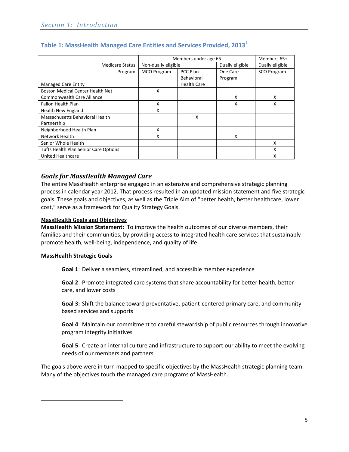|                                              | Members under age 65 |                    | Members 65+     |                    |
|----------------------------------------------|----------------------|--------------------|-----------------|--------------------|
| <b>Medicare Status</b>                       | Non-dually eligible  |                    | Dually eligible | Dually eligible    |
| Program                                      | <b>MCO Program</b>   | PCC Plan           | One Care        | <b>SCO Program</b> |
|                                              |                      | <b>Behavioral</b>  | Program         |                    |
| <b>Managed Care Entity</b>                   |                      | <b>Health Care</b> |                 |                    |
| <b>Boston Medical Center Health Net</b>      | X                    |                    |                 |                    |
| <b>Commonwealth Care Alliance</b>            |                      |                    | X               | x                  |
| <b>Fallon Health Plan</b>                    | X                    |                    | Χ               | X                  |
| Health New England                           | x                    |                    |                 |                    |
| Massachusetts Behavioral Health              |                      | X                  |                 |                    |
| Partnership                                  |                      |                    |                 |                    |
| Neighborhood Health Plan                     | X                    |                    |                 |                    |
| Network Health                               | X                    |                    | x               |                    |
| Senior Whole Health                          |                      |                    |                 | x                  |
| <b>Tufts Health Plan Senior Care Options</b> |                      |                    |                 | x                  |
| <b>United Healthcare</b>                     |                      |                    |                 | X                  |

## <span id="page-4-1"></span>**Table 1: MassHealth Managed Care Entities and Services Provided, 2013[1](#page-4-2)**

## <span id="page-4-0"></span>*Goals for MassHealth Managed Care*

The entire MassHealth enterprise engaged in an extensive and comprehensive strategic planning process in calendar year 2012. That process resulted in an updated mission statement and five strategic goals. These goals and objectives, as well as the Triple Aim of "better health, better healthcare, lower cost," serve as a framework for Quality Strategy Goals.

#### **MassHealth Goals and Objectives**

**MassHealth Mission Statement:** To improve the health outcomes of our diverse members, their families and their communities, by providing access to integrated health care services that sustainably promote health, well-being, independence, and quality of life.

#### **MassHealth Strategic Goals**

<span id="page-4-2"></span>l

**Goal 1**: Deliver a seamless, streamlined, and accessible member experience

**Goal 2**: Promote integrated care systems that share accountability for better health, better care, and lower costs

**Goal 3:** Shift the balance toward preventative, patient-centered primary care, and communitybased services and supports

**Goal 4**: Maintain our commitment to careful stewardship of public resources through innovative program integrity initiatives

**Goal 5**: Create an internal culture and infrastructure to support our ability to meet the evolving needs of our members and partners

The goals above were in turn mapped to specific objectives by the MassHealth strategic planning team. Many of the objectives touch the managed care programs of MassHealth.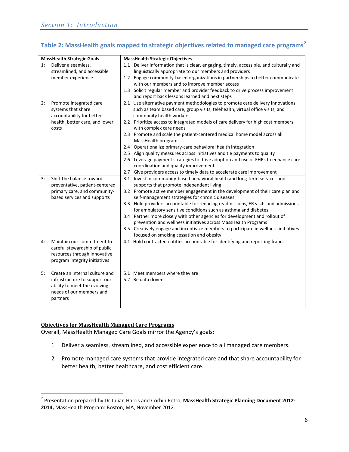## **Table 2: MassHealth goals mapped to strategic objectives related to managed care programs[2](#page-5-0)**

|    | <b>MassHealth Strategic Goals</b> |     | <b>MassHealth Strategic Objectives</b>                                                          |
|----|-----------------------------------|-----|-------------------------------------------------------------------------------------------------|
| 1: | Deliver a seamless,               |     | 1.1 Deliver information that is clear, engaging, timely, accessible, and culturally and         |
|    | streamlined, and accessible       |     | linguistically appropriate to our members and providers                                         |
|    | member experience                 |     | 1.2 Engage community-based organizations in partnerships to better communicate                  |
|    |                                   |     | with our members and to improve member access                                                   |
|    |                                   |     | 1.3 Solicit regular member and provider feedback to drive process improvement                   |
|    |                                   |     | and report back lessons learned and next steps                                                  |
| 2: | Promote integrated care           |     | 2.1 Use alternative payment methodologies to promote care delivery innovations                  |
|    | systems that share                |     | such as team based care, group visits, telehealth, virtual office visits, and                   |
|    | accountability for better         |     | community health workers                                                                        |
|    | health, better care, and lower    |     | 2.2 Prioritize access to integrated models of care delivery for high cost members               |
|    | costs                             |     | with complex care needs                                                                         |
|    |                                   |     | 2.3 Promote and scale the patient-centered medical home model across all<br>MassHealth programs |
|    |                                   |     | 2.4 Operationalize primary-care behavioral health integration                                   |
|    |                                   |     | 2.5 Align quality measures across initiatives and tie payments to quality                       |
|    |                                   |     | 2.6 Leverage payment strategies to drive adoption and use of EHRs to enhance care               |
|    |                                   |     | coordination and quality improvement                                                            |
|    |                                   | 2.7 | Give providers access to timely data to accelerate care improvement                             |
| 3: | Shift the balance toward          |     | 3.1 Invest in community-based behavioral health and long-term services and                      |
|    | preventative, patient-centered    |     | supports that promote independent living                                                        |
|    | primary care, and community-      |     | 3.2 Promote active member engagement in the development of their care plan and                  |
|    | based services and supports       |     | self-management strategies for chronic diseases                                                 |
|    |                                   |     | 3.3 Hold providers accountable for reducing readmissions, ER visits and admissions              |
|    |                                   |     | for ambulatory sensitive conditions such as asthma and diabetes                                 |
|    |                                   |     | 3.4 Partner more closely with other agencies for development and rollout of                     |
|    |                                   |     | prevention and wellness initiatives across MassHealth Programs                                  |
|    |                                   |     | 3.5 Creatively engage and incentivize members to participate in wellness initiatives            |
|    |                                   |     | focused on smoking cessation and obesity                                                        |
| 4: | Maintain our commitment to        |     | 4.1 Hold contracted entities accountable for identifying and reporting fraud.                   |
|    | careful stewardship of public     |     |                                                                                                 |
|    | resources through innovative      |     |                                                                                                 |
|    | program integrity initiatives     |     |                                                                                                 |
|    |                                   |     |                                                                                                 |
| 5: | Create an internal culture and    |     | 5.1 Meet members where they are                                                                 |
|    | infrastructure to support our     |     | 5.2 Be data driven                                                                              |
|    | ability to meet the evolving      |     |                                                                                                 |
|    | needs of our members and          |     |                                                                                                 |
|    | partners                          |     |                                                                                                 |
|    |                                   |     |                                                                                                 |

#### **Objectives for MassHealth Managed Care Programs**

 $\overline{\phantom{a}}$ 

Overall, MassHealth Managed Care Goals mirror the Agency's goals:

- 1 Deliver a seamless, streamlined, and accessible experience to all managed care members.
- 2 Promote managed care systems that provide integrated care and that share accountability for better health, better healthcare, and cost efficient care.

<span id="page-5-0"></span><sup>2</sup> Presentation prepared by Dr.Julian Harris and Corbin Petro, **MassHealth Strategic Planning Document 2012- 2014,** MassHealth Program: Boston, MA, November 2012.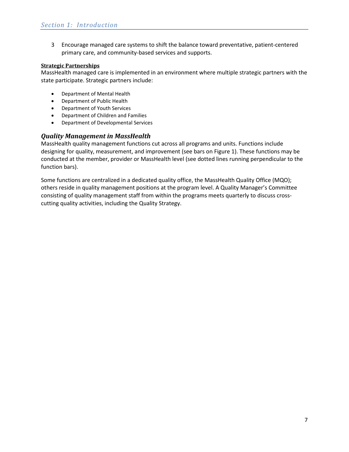3 Encourage managed care systems to shift the balance toward preventative, patient-centered primary care, and community-based services and supports.

#### **Strategic Partnerships**

MassHealth managed care is implemented in an environment where multiple strategic partners with the state participate. Strategic partners include:

- Department of Mental Health
- Department of Public Health
- Department of Youth Services
- Department of Children and Families
- Department of Developmental Services

## <span id="page-6-0"></span>*Quality Management in MassHealth*

MassHealth quality management functions cut across all programs and units. Functions include designing for quality, measurement, and improvement (see bars o[n Figure 1\)](#page-7-0). These functions may be conducted at the member, provider or MassHealth level (see dotted lines running perpendicular to the function bars).

Some functions are centralized in a dedicated quality office, the MassHealth Quality Office (MQO); others reside in quality management positions at the program level. A Quality Manager's Committee consisting of quality management staff from within the programs meets quarterly to discuss crosscutting quality activities, including the Quality Strategy.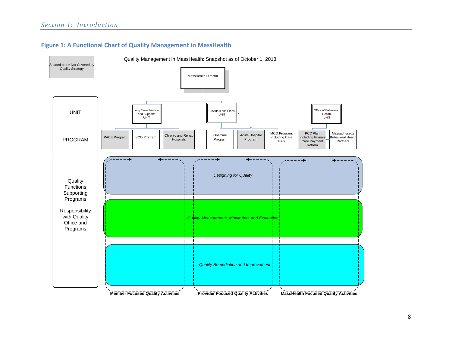

<span id="page-7-0"></span>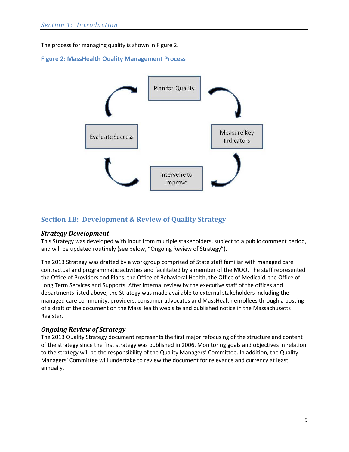The process for managing quality is shown i[n Figure 2.](#page-8-3)

## <span id="page-8-3"></span>**Figure 2: MassHealth Quality Management Process**



## <span id="page-8-0"></span>**Section 1B: Development & Review of Quality Strategy**

## <span id="page-8-1"></span>*Strategy Development*

This Strategy was developed with input from multiple stakeholders, subject to a public comment period, and will be updated routinely (see below, ["Ongoing Review of Strategy"](#page-8-2)).

The 2013 Strategy was drafted by a workgroup comprised of State staff familiar with managed care contractual and programmatic activities and facilitated by a member of the MQO. The staff represented the Office of Providers and Plans, the Office of Behavioral Health, the Office of Medicaid, the Office of Long Term Services and Supports. After internal review by the executive staff of the offices and departments listed above, the Strategy was made available to external stakeholders including the managed care community, providers, consumer advocates and MassHealth enrollees through a posting of a draft of the document on the MassHealth web site and published notice in the Massachusetts Register.

## <span id="page-8-2"></span>*Ongoing Review of Strategy*

The 2013 Quality Strategy document represents the first major refocusing of the structure and content of the strategy since the first strategy was published in 2006. Monitoring goals and objectives in relation to the strategy will be the responsibility of the Quality Managers' Committee. In addition, the Quality Managers' Committee will undertake to review the document for relevance and currency at least annually.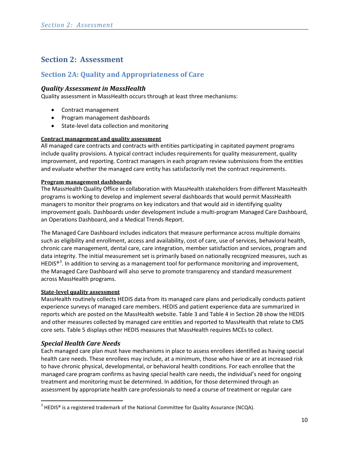# <span id="page-9-0"></span>**Section 2: Assessment**

## <span id="page-9-1"></span>**Section 2A: Quality and Appropriateness of Care**

## <span id="page-9-2"></span>*Quality Assessment in MassHealth*

Quality assessment in MassHealth occurs through at least three mechanisms:

- Contract management
- Program management dashboards
- State-level data collection and monitoring

#### **Contract management and quality assessment**

All managed care contracts and contracts with entities participating in capitated payment programs include quality provisions. A typical contract includes requirements for quality measurement, quality improvement, and reporting. Contract managers in each program review submissions from the entities and evaluate whether the managed care entity has satisfactorily met the contract requirements.

#### **Program management dashboards**

The MassHealth Quality Office in collaboration with MassHealth stakeholders from different MassHealth programs is working to develop and implement several dashboards that would permit MassHealth managers to monitor their programs on key indicators and that would aid in identifying quality improvement goals. Dashboards under development include a multi-program Managed Care Dashboard, an Operations Dashboard, and a Medical Trends Report.

The Managed Care Dashboard includes indicators that measure performance across multiple domains such as eligibility and enrollment, access and availability, cost of care, use of services, behavioral health, chronic care management, dental care, care integration, member satisfaction and services, program and data integrity. The initial measurement set is primarily based on nationally recognized measures, such as HEDIS<sup>®[3](#page-9-4)</sup>. In addition to serving as a management tool for performance monitoring and improvement, the Managed Care Dashboard will also serve to promote transparency and standard measurement across MassHealth programs.

#### **State-level quality assessment**

MassHealth routinely collects HEDIS data from its managed care plans and periodically conducts patient experience surveys of managed care members. HEDIS and patient experience data are summarized in reports which are posted on the MassHealth website. [Table 3](#page-11-1) and [Table 4](#page-11-2) in Section 2B show the HEDIS and other measures collected by managed care entities and reported to MassHealth that relate to CMS core sets. [Table 5](#page-13-2) displays other HEDIS measures that MassHealth requires MCEs to collect.

## <span id="page-9-3"></span>*Special Health Care Needs*

l

Each managed care plan must have mechanisms in place to assess enrollees identified as having special health care needs. These enrollees may include, at a minimum, those who have or are at increased risk to have chronic physical, developmental, or behavioral health conditions. For each enrollee that the managed care program confirms as having special health care needs, the individual's need for ongoing treatment and monitoring must be determined. In addition, for those determined through an assessment by appropriate health care professionals to need a course of treatment or regular care

<span id="page-9-4"></span> $3$  HEDIS® is a registered trademark of the National Committee for Quality Assurance (NCQA).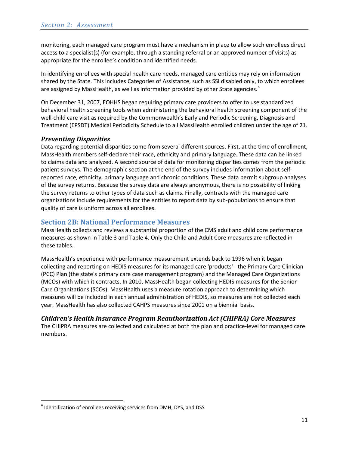monitoring, each managed care program must have a mechanism in place to allow such enrollees direct access to a specialist(s) (for example, through a standing referral or an approved number of visits) as appropriate for the enrollee's condition and identified needs.

In identifying enrollees with special health care needs, managed care entities may rely on information shared by the State. This includes Categories of Assistance, such as SSI disabled only, to which enrollees are assigned by MassHealth, as well as information provided by other State agencies.<sup>[4](#page-10-3)</sup>

On December 31, 2007, EOHHS began requiring primary care providers to offer to use standardized behavioral health screening tools when administering the behavioral health screening component of the well-child care visit as required by the Commonwealth's Early and Periodic Screening, Diagnosis and Treatment (EPSDT) Medical Periodicity Schedule to all MassHealth enrolled children under the age of 21.

## <span id="page-10-0"></span>*Preventing Disparities*

Data regarding potential disparities come from several different sources. First, at the time of enrollment, MassHealth members self-declare their race, ethnicity and primary language. These data can be linked to claims data and analyzed. A second source of data for monitoring disparities comes from the periodic patient surveys. The demographic section at the end of the survey includes information about selfreported race, ethnicity, primary language and chronic conditions. These data permit subgroup analyses of the survey returns. Because the survey data are always anonymous, there is no possibility of linking the survey returns to other types of data such as claims. Finally, contracts with the managed care organizations include requirements for the entities to report data by sub-populations to ensure that quality of care is uniform across all enrollees.

## <span id="page-10-1"></span>**Section 2B: National Performance Measures**

MassHealth collects and reviews a substantial proportion of the CMS adult and child core performance measures as shown i[n Table 3](#page-11-1) and [Table 4.](#page-11-2) Only the Child and Adult Core measures are reflected in these tables.

MassHealth's experience with performance measurement extends back to 1996 when it began collecting and reporting on HEDIS measures for its managed care 'products' - the Primary Care Clinician (PCC) Plan (the state's primary care case management program) and the Managed Care Organizations (MCOs) with which it contracts. In 2010, MassHealth began collecting HEDIS measures for the Senior Care Organizations (SCOs). MassHealth uses a measure rotation approach to determining which measures will be included in each annual administration of HEDIS, so measures are not collected each year. MassHealth has also collected CAHPS measures since 2001 on a biennial basis.

## <span id="page-10-2"></span>*Children's Health Insurance Program Reauthorization Act (CHIPRA) Core Measures*

The CHIPRA measures are collected and calculated at both the plan and practice-level for managed care members.

l

<span id="page-10-3"></span><sup>&</sup>lt;sup>4</sup> Identification of enrollees receiving services from DMH, DYS, and DSS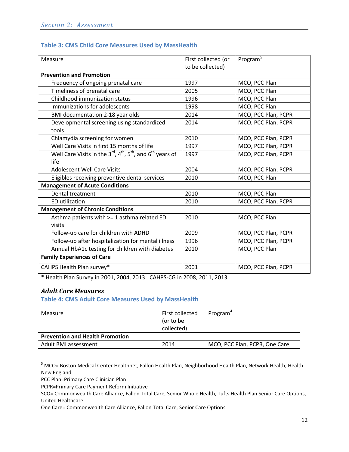## <span id="page-11-1"></span>**Table 3: CMS Child Core Measures Used by MassHealth**

| Measure                                                                                | First collected (or<br>to be collected) | Program <sup>5</sup> |
|----------------------------------------------------------------------------------------|-----------------------------------------|----------------------|
| <b>Prevention and Promotion</b>                                                        |                                         |                      |
| Frequency of ongoing prenatal care                                                     | 1997                                    | MCO, PCC Plan        |
| Timeliness of prenatal care                                                            | 2005                                    | MCO, PCC Plan        |
| Childhood immunization status                                                          | 1996                                    | MCO, PCC Plan        |
| Immunizations for adolescents                                                          | 1998                                    | MCO, PCC Plan        |
| BMI documentation 2-18 year olds                                                       | 2014                                    | MCO, PCC Plan, PCPR  |
| Developmental screening using standardized<br>tools                                    | 2014                                    | MCO, PCC Plan, PCPR  |
| Chlamydia screening for women                                                          | 2010                                    | MCO, PCC Plan, PCPR  |
| Well Care Visits in first 15 months of life                                            | 1997                                    | MCO, PCC Plan, PCPR  |
| Well Care Visits in the $3^{rd}$ , $4^{th}$ , $5^{th}$ , and $6^{th}$ years of<br>life | 1997                                    | MCO, PCC Plan, PCPR  |
| <b>Adolescent Well Care Visits</b>                                                     | 2004                                    | MCO, PCC Plan, PCPR  |
| Eligibles receiving preventive dental services                                         | 2010                                    | MCO, PCC Plan        |
| <b>Management of Acute Conditions</b>                                                  |                                         |                      |
| Dental treatment                                                                       | 2010                                    | MCO, PCC Plan        |
| <b>ED</b> utilization                                                                  | 2010                                    | MCO, PCC Plan, PCPR  |
| <b>Management of Chronic Conditions</b>                                                |                                         |                      |
| Asthma patients with >= 1 asthma related ED                                            | 2010                                    | MCO, PCC Plan        |
| visits                                                                                 |                                         |                      |
| Follow-up care for children with ADHD                                                  | 2009                                    | MCO, PCC Plan, PCPR  |
| Follow-up after hospitalization for mental illness                                     | 1996                                    | MCO, PCC Plan, PCPR  |
| Annual HbA1c testing for children with diabetes                                        | 2010                                    | MCO, PCC Plan        |
| <b>Family Experiences of Care</b>                                                      |                                         |                      |
| CAHPS Health Plan survey*                                                              | 2001                                    | MCO, PCC Plan, PCPR  |

\* Health Plan Survey in 2001, 2004, 2013. CAHPS-CG in 2008, 2011, 2013.

## <span id="page-11-0"></span>*Adult Core Measures*

 $\overline{\phantom{a}}$ 

<span id="page-11-2"></span>**Table 4: CMS Adult Core Measures Used by MassHealth**

| Measure                                | First collected<br>(or to be<br>collected) | Program <sup>4</sup>          |
|----------------------------------------|--------------------------------------------|-------------------------------|
| <b>Prevention and Health Promotion</b> |                                            |                               |
| Adult BMI assessment                   | 2014                                       | MCO, PCC Plan, PCPR, One Care |

<span id="page-11-3"></span><sup>5</sup> MCO= Boston Medical Center Healthnet, Fallon Health Plan, Neighborhood Health Plan, Network Health, Health New England.

PCC Plan=Primary Care Clinician Plan

PCPR=Primary Care Payment Reform Initiative

SCO= Commonwealth Care Alliance, Fallon Total Care, Senior Whole Health, Tufts Health Plan Senior Care Options, United Healthcare

One Care= Commonwealth Care Alliance, Fallon Total Care, Senior Care Options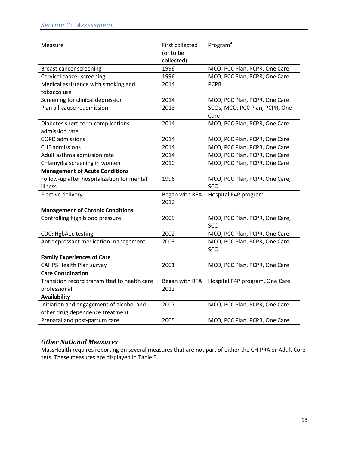| Measure                                      | First collected | Program $4$                    |
|----------------------------------------------|-----------------|--------------------------------|
|                                              | (or to be       |                                |
|                                              | collected)      |                                |
| Breast cancer screening                      | 1996            | MCO, PCC Plan, PCPR, One Care  |
| Cervical cancer screening                    | 1996            | MCO, PCC Plan, PCPR, One Care  |
| Medical assistance with smoking and          | 2014            | <b>PCPR</b>                    |
| tobacco use                                  |                 |                                |
| Screening for clinical depression            | 2014            | MCO, PCC Plan, PCPR, One Care  |
| Plan all-cause readmission                   | 2013            | SCOs, MCO, PCC Plan, PCPR, One |
|                                              |                 | Care                           |
| Diabetes short-term complications            | 2014            | MCO, PCC Plan, PCPR, One Care  |
| admission rate                               |                 |                                |
| <b>COPD</b> admissions                       | 2014            | MCO, PCC Plan, PCPR, One Care  |
| <b>CHF</b> admissions                        | 2014            | MCO, PCC Plan, PCPR, One Care  |
| Adult asthma admission rate                  | 2014            | MCO, PCC Plan, PCPR, One Care  |
| Chlamydia screening in women                 | 2010            | MCO, PCC Plan, PCPR, One Care  |
| <b>Management of Acute Conditions</b>        |                 |                                |
| Follow-up after hospitalization for mental   | 1996            | MCO, PCC Plan, PCPR, One Care, |
| illness                                      |                 | SCO                            |
| Elective delivery                            | Began with RFA  | Hospital P4P program           |
|                                              | 2012            |                                |
| <b>Management of Chronic Conditions</b>      |                 |                                |
| Controlling high blood pressure              | 2005            | MCO, PCC Plan, PCPR, One Care, |
|                                              |                 | SCO                            |
| CDC: HgbA1c testing                          | 2002            | MCO, PCC Plan, PCPR, One Care  |
| Antidepressant medication management         | 2003            | MCO, PCC Plan, PCPR, One Care, |
|                                              |                 | SCO                            |
| <b>Family Experiences of Care</b>            |                 |                                |
| <b>CAHPS Health Plan survey</b>              | 2001            | MCO, PCC Plan, PCPR, One Care  |
| <b>Care Coordination</b>                     |                 |                                |
| Transition record transmitted to health care | Began with RFA  | Hospital P4P program, One Care |
| professional                                 | 2012            |                                |
| Availability                                 |                 |                                |
| Initiation and engagement of alcohol and     | 2007            | MCO, PCC Plan, PCPR, One Care  |
| other drug dependence treatment              |                 |                                |
| Prenatal and post-partum care                | 2005            | MCO, PCC Plan, PCPR, One Care  |

## <span id="page-12-0"></span>*Other National Measures*

MassHealth requires reporting on several measures that are not part of either the CHIPRA or Adult Core sets. These measures are displayed i[n Table 5.](#page-13-2)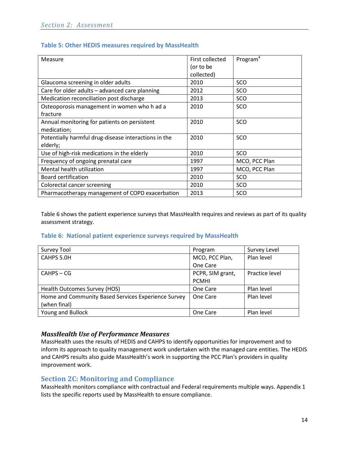<span id="page-13-2"></span>

| Table 5: Other HEDIS measures required by MassHealth |  |  |
|------------------------------------------------------|--|--|
|------------------------------------------------------|--|--|

| Measure                                              | First collected | Program <sup>4</sup> |
|------------------------------------------------------|-----------------|----------------------|
|                                                      | (or to be       |                      |
|                                                      | collected)      |                      |
| Glaucoma screening in older adults                   | 2010            | SCO                  |
| Care for older adults - advanced care planning       | 2012            | SCO                  |
| Medication reconciliation post discharge             | 2013            | SCO                  |
| Osteoporosis management in women who h ad a          | 2010            | SCO                  |
| fracture                                             |                 |                      |
| Annual monitoring for patients on persistent         | 2010            | SCO                  |
| medication;                                          |                 |                      |
| Potentially harmful drug-disease interactions in the | 2010            | SCO                  |
| elderly;                                             |                 |                      |
| Use of high-risk medications in the elderly          | 2010            | SCO                  |
| Frequency of ongoing prenatal care                   | 1997            | MCO, PCC Plan        |
| Mental health utilization                            | 1997            | MCO, PCC Plan        |
| Board certification                                  | 2010            | SCO                  |
| Colorectal cancer screening                          | 2010            | SCO                  |
| Pharmacotherapy management of COPD exacerbation      | 2013            | SCO                  |

[Table 6](#page-13-3) shows the patient experience surveys that MassHealth requires and reviews as part of its quality assessment strategy.

## <span id="page-13-3"></span>**Table 6: National patient experience surveys required by MassHealth**

| Survey Tool                                         | Program          | Survey Level   |
|-----------------------------------------------------|------------------|----------------|
| CAHPS 5.0H                                          | MCO, PCC Plan,   | Plan level     |
|                                                     | One Care         |                |
| $CAHPS - CG$                                        | PCPR, SIM grant, | Practice level |
|                                                     | <b>PCMHI</b>     |                |
| Health Outcomes Survey (HOS)                        | One Care         | Plan level     |
| Home and Community Based Services Experience Survey | One Care         | Plan level     |
| (when final)                                        |                  |                |
| Young and Bullock                                   | One Care         | Plan level     |

## <span id="page-13-0"></span>*MassHealth Use of Performance Measures*

MassHealth uses the results of HEDIS and CAHPS to identify opportunities for improvement and to inform its approach to quality management work undertaken with the managed care entities. The HEDIS and CAHPS results also guide MassHealth's work in supporting the PCC Plan's providers in quality improvement work.

## <span id="page-13-1"></span>**Section 2C: Monitoring and Compliance**

MassHealth monitors compliance with contractual and Federal requirements multiple ways. Appendix 1 lists the specific reports used by MassHealth to ensure compliance.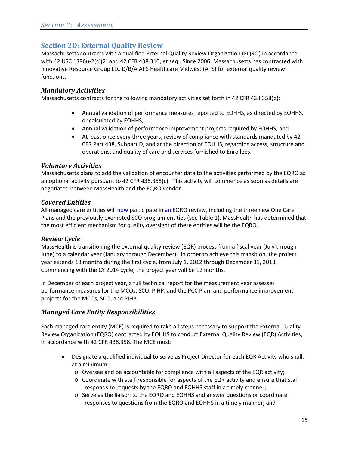## <span id="page-14-0"></span>**Section 2D: External Quality Review**

Massachusetts contracts with a qualified External Quality Review Organization (EQRO) in accordance with 42 USC 1396u-2(c)(2) and 42 CFR 438.310, et seq.. Since 2006, Massachusetts has contracted with Innovative Resource Group LLC D/B/A APS Healthcare Midwest (APS) for external quality review functions.

## <span id="page-14-1"></span>*Mandatory Activities*

Massachusetts contracts for the following mandatory activities set forth in 42 CFR 438.358(b):

- Annual validation of performance measures reported to EOHHS, as directed by EOHHS, or calculated by EOHHS;
- Annual validation of performance improvement projects required by EOHHS; and
- At least once every three years, review of compliance with standards mandated by 42 CFR Part 438, Subpart D, and at the direction of EOHHS, regarding access, structure and operations, and quality of care and services furnished to Enrollees.

## <span id="page-14-2"></span>*Voluntary Activities*

Massachusetts plans to add the validation of encounter data to the activities performed by the EQRO as an optional activity pursuant to 42 CFR 438.358(c). This activity will commence as soon as details are negotiated between MassHealth and the EQRO vendor.

## <span id="page-14-3"></span>*Covered Entities*

All managed care entities will now participate in an EQRO review, including the three new One Care Plans and the previously exempted SCO program entities (see Table 1). MassHealth has determined that the most efficient mechanism for quality oversight of these entities will be the EQRO.

## <span id="page-14-4"></span>*Review Cycle*

MassHealth is transitioning the external quality review (EQR) process from a fiscal year (July through June) to a calendar year (January through December). In order to achieve this transition, the project year extends 18 months during the first cycle, from July 1, 2012 through December 31, 2013. Commencing with the CY 2014 cycle, the project year will be 12 months.

In December of each project year, a full technical report for the measurement year assesses performance measures for the MCOs, SCO, PIHP, and the PCC Plan, and performance improvement projects for the MCOs, SCO, and PIHP.

## <span id="page-14-5"></span>*Managed Care Entity Responsibilities*

Each managed care entity (MCE) is required to take all steps necessary to support the External Quality Review Organization (EQRO) contracted by EOHHS to conduct External Quality Review (EQR) Activities, in accordance with 42 CFR 438.358. The MCE must:

- Designate a qualified individual to serve as Project Director for each EQR Activity who shall, at a minimum:
	- o Oversee and be accountable for compliance with all aspects of the EQR activity;
	- o Coordinate with staff responsible for aspects of the EQR activity and ensure that staff responds to requests by the EQRO and EOHHS staff in a timely manner;
	- o Serve as the liaison to the EQRO and EOHHS and answer questions or coordinate responses to questions from the EQRO and EOHHS in a timely manner; and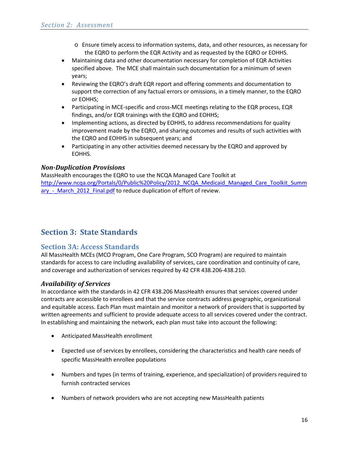- o Ensure timely access to information systems, data, and other resources, as necessary for the EQRO to perform the EQR Activity and as requested by the EQRO or EOHHS.
- Maintaining data and other documentation necessary for completion of EQR Activities specified above. The MCE shall maintain such documentation for a minimum of seven years;
- Reviewing the EQRO's draft EQR report and offering comments and documentation to support the correction of any factual errors or omissions, in a timely manner, to the EQRO or EOHHS;
- Participating in MCE-specific and cross-MCE meetings relating to the EQR process, EQR findings, and/or EQR trainings with the EQRO and EOHHS;
- Implementing actions, as directed by EOHHS, to address recommendations for quality improvement made by the EQRO, and sharing outcomes and results of such activities with the EQRO and EOHHS in subsequent years; and
- Participating in any other activities deemed necessary by the EQRO and approved by EOHHS.

## <span id="page-15-0"></span>*Non-Duplication Provisions*

MassHealth encourages the EQRO to use the NCQA Managed Care Toolkit at [http://www.ncqa.org/Portals/0/Public%20Policy/2012\\_NCQA\\_Medicaid\\_Managed\\_Care\\_Toolkit\\_Summ](http://www.ncqa.org/Portals/0/Public%20Policy/2012_NCQA_Medicaid_Managed_Care_Toolkit_Summary_-_March_2012_Final.pdf) ary - March 2012 Final.pdf to reduce duplication of effort of review.

# <span id="page-15-1"></span>**Section 3: State Standards**

## <span id="page-15-2"></span>**Section 3A: Access Standards**

All MassHealth MCEs (MCO Program, One Care Program, SCO Program) are required to maintain standards for access to care including availability of services, care coordination and continuity of care, and coverage and authorization of services required by 42 CFR 438.206-438.210.

## <span id="page-15-3"></span>*Availability of Services*

In accordance with the standards in 42 CFR 438.206 MassHealth ensures that services covered under contracts are accessible to enrollees and that the service contracts address geographic, organizational and equitable access. Each Plan must maintain and monitor a network of providers that is supported by written agreements and sufficient to provide adequate access to all services covered under the contract. In establishing and maintaining the network, each plan must take into account the following:

- Anticipated MassHealth enrollment
- Expected use of services by enrollees, considering the characteristics and health care needs of specific MassHealth enrollee populations
- Numbers and types (in terms of training, experience, and specialization) of providers required to furnish contracted services
- Numbers of network providers who are not accepting new MassHealth patients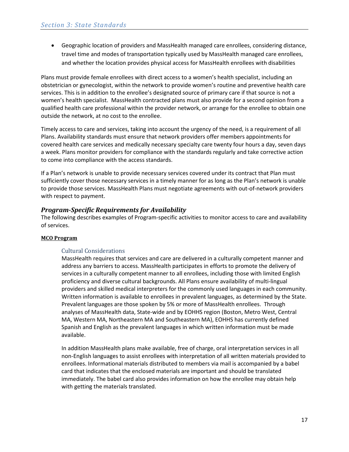• Geographic location of providers and MassHealth managed care enrollees, considering distance, travel time and modes of transportation typically used by MassHealth managed care enrollees, and whether the location provides physical access for MassHealth enrollees with disabilities

Plans must provide female enrollees with direct access to a women's health specialist, including an obstetrician or gynecologist, within the network to provide women's routine and preventive health care services. This is in addition to the enrollee's designated source of primary care if that source is not a women's health specialist. MassHealth contracted plans must also provide for a second opinion from a qualified health care professional within the provider network, or arrange for the enrollee to obtain one outside the network, at no cost to the enrollee.

Timely access to care and services, taking into account the urgency of the need, is a requirement of all Plans. Availability standards must ensure that network providers offer members appointments for covered health care services and medically necessary specialty care twenty four hours a day, seven days a week. Plans monitor providers for compliance with the standards regularly and take corrective action to come into compliance with the access standards.

If a Plan's network is unable to provide necessary services covered under its contract that Plan must sufficiently cover those necessary services in a timely manner for as long as the Plan's network is unable to provide those services. MassHealth Plans must negotiate agreements with out-of-network providers with respect to payment.

#### <span id="page-16-0"></span>*Program-Specific Requirements for Availability*

The following describes examples of Program-specific activities to monitor access to care and availability of services.

#### **MCO Program**

#### Cultural Considerations

MassHealth requires that services and care are delivered in a culturally competent manner and address any barriers to access. MassHealth participates in efforts to promote the delivery of services in a culturally competent manner to all enrollees, including those with limited English proficiency and diverse cultural backgrounds. All Plans ensure availability of multi-lingual providers and skilled medical interpreters for the commonly used languages in each community. Written information is available to enrollees in prevalent languages, as determined by the State. Prevalent languages are those spoken by 5% or more of MassHealth enrollees. Through analyses of MassHealth data, State-wide and by EOHHS region (Boston, Metro West, Central MA, Western MA, Northeastern MA and Southeastern MA), EOHHS has currently defined Spanish and English as the prevalent languages in which written information must be made available.

In addition MassHealth plans make available, free of charge, oral interpretation services in all non-English languages to assist enrollees with interpretation of all written materials provided to enrollees. Informational materials distributed to members via mail is accompanied by a babel card that indicates that the enclosed materials are important and should be translated immediately. The babel card also provides information on how the enrollee may obtain help with getting the materials translated.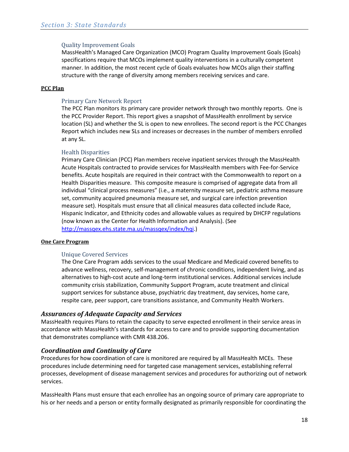#### Quality Improvement Goals

MassHealth's Managed Care Organization (MCO) Program Quality Improvement Goals (Goals) specifications require that MCOs implement quality interventions in a culturally competent manner. In addition, the most recent cycle of Goals evaluates how MCOs align their staffing structure with the range of diversity among members receiving services and care.

#### **PCC Plan**

#### Primary Care Network Report

The PCC Plan monitors its primary care provider network through two monthly reports. One is the PCC Provider Report. This report gives a snapshot of MassHealth enrollment by service location (SL) and whether the SL is open to new enrollees. The second report is the PCC Changes Report which includes new SLs and increases or decreases in the number of members enrolled at any SL.

#### Health Disparities

Primary Care Clinician (PCC) Plan members receive inpatient services through the MassHealth Acute Hospitals contracted to provide services for MassHealth members with Fee-for-Service benefits. Acute hospitals are required in their contract with the Commonwealth to report on a Health Disparities measure. This composite measure is comprised of aggregate data from all individual "clinical process measures" (i.e., a maternity measure set, pediatric asthma measure set, community acquired pneumonia measure set, and surgical care infection prevention measure set). Hospitals must ensure that all clinical measures data collected include Race, Hispanic Indicator, and Ethnicity codes and allowable values as required by DHCFP regulations (now known as the Center for Health Information and Analysis). (See [http://massqex.ehs.state.ma.us/massqex/index/hqi.](http://massqex.ehs.state.ma.us/massqex/index/hqi))

#### **One Care Program**

## Unique Covered Services

The One Care Program adds services to the usual Medicare and Medicaid covered benefits to advance wellness, recovery, self-management of chronic conditions, independent living, and as alternatives to high-cost acute and long-term institutional services. Additional services include community crisis stabilization, Community Support Program, acute treatment and clinical support services for substance abuse, psychiatric day treatment, day services, home care, respite care, peer support, care transitions assistance, and Community Health Workers.

## <span id="page-17-0"></span>*Assurances of Adequate Capacity and Services*

MassHealth requires Plans to retain the capacity to serve expected enrollment in their service areas in accordance with MassHealth's standards for access to care and to provide supporting documentation that demonstrates compliance with CMR 438.206.

## <span id="page-17-1"></span>*Coordination and Continuity of Care*

Procedures for how coordination of care is monitored are required by all MassHealth MCEs. These procedures include determining need for targeted case management services, establishing referral processes, development of disease management services and procedures for authorizing out of network services.

MassHealth Plans must ensure that each enrollee has an ongoing source of primary care appropriate to his or her needs and a person or entity formally designated as primarily responsible for coordinating the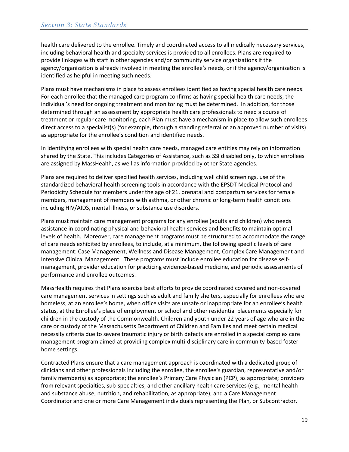health care delivered to the enrollee. Timely and coordinated access to all medically necessary services, including behavioral health and specialty services is provided to all enrollees. Plans are required to provide linkages with staff in other agencies and/or community service organizations if the agency/organization is already involved in meeting the enrollee's needs, or if the agency/organization is identified as helpful in meeting such needs.

Plans must have mechanisms in place to assess enrollees identified as having special health care needs. For each enrollee that the managed care program confirms as having special health care needs, the individual's need for ongoing treatment and monitoring must be determined. In addition, for those determined through an assessment by appropriate health care professionals to need a course of treatment or regular care monitoring, each Plan must have a mechanism in place to allow such enrollees direct access to a specialist(s) (for example, through a standing referral or an approved number of visits) as appropriate for the enrollee's condition and identified needs.

In identifying enrollees with special health care needs, managed care entities may rely on information shared by the State. This includes Categories of Assistance, such as SSI disabled only, to which enrollees are assigned by MassHealth, as well as information provided by other State agencies.

Plans are required to deliver specified health services, including well child screenings, use of the standardized behavioral health screening tools in accordance with the EPSDT Medical Protocol and Periodicity Schedule for members under the age of 21, prenatal and postpartum services for female members, management of members with asthma, or other chronic or long-term health conditions including HIV/AIDS, mental illness, or substance use disorders.

Plans must maintain care management programs for any enrollee (adults and children) who needs assistance in coordinating physical and behavioral health services and benefits to maintain optimal levels of health. Moreover, care management programs must be structured to accommodate the range of care needs exhibited by enrollees, to include, at a minimum, the following specific levels of care management: Case Management, Wellness and Disease Management, Complex Care Management and Intensive Clinical Management. These programs must include enrollee education for disease selfmanagement, provider education for practicing evidence-based medicine, and periodic assessments of performance and enrollee outcomes.

MassHealth requires that Plans exercise best efforts to provide coordinated covered and non-covered care management services in settings such as adult and family shelters, especially for enrollees who are homeless, at an enrollee's home, when office visits are unsafe or inappropriate for an enrollee's health status, at the Enrollee's place of employment or school and other residential placements especially for children in the custody of the Commonwealth. Children and youth under 22 years of age who are in the care or custody of the Massachusetts Department of Children and Families and meet certain medical necessity criteria due to severe traumatic injury or birth defects are enrolled in a special complex care management program aimed at providing complex multi-disciplinary care in community-based foster home settings.

Contracted Plans ensure that a care management approach is coordinated with a dedicated group of clinicians and other professionals including the enrollee, the enrollee's guardian, representative and/or family member(s) as appropriate; the enrollee's Primary Care Physician (PCP); as appropriate; providers from relevant specialties, sub-specialties, and other ancillary health care services (e.g., mental health and substance abuse, nutrition, and rehabilitation, as appropriate); and a Care Management Coordinator and one or more Care Management individuals representing the Plan, or Subcontractor.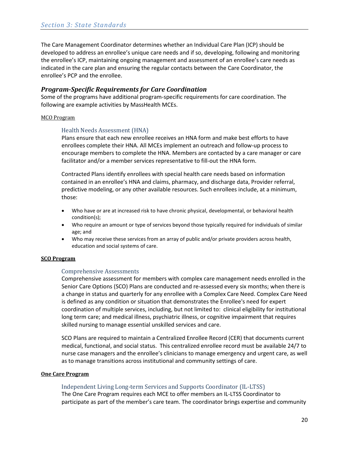The Care Management Coordinator determines whether an Individual Care Plan (ICP) should be developed to address an enrollee's unique care needs and if so, developing, following and monitoring the enrollee's ICP, maintaining ongoing management and assessment of an enrollee's care needs as indicated in the care plan and ensuring the regular contacts between the Care Coordinator, the enrollee's PCP and the enrollee.

#### <span id="page-19-0"></span>*Program-Specific Requirements for Care Coordination*

Some of the programs have additional program-specific requirements for care coordination. The following are example activities by MassHealth MCEs.

#### MCO Program

#### Health Needs Assessment (HNA)

Plans ensure that each new enrollee receives an HNA form and make best efforts to have enrollees complete their HNA. All MCEs implement an outreach and follow-up process to encourage members to complete the HNA. Members are contacted by a care manager or care facilitator and/or a member services representative to fill-out the HNA form.

Contracted Plans identify enrollees with special health care needs based on information contained in an enrollee's HNA and claims, pharmacy, and discharge data, Provider referral, predictive modeling, or any other available resources. Such enrollees include, at a minimum, those:

- Who have or are at increased risk to have chronic physical, developmental, or behavioral health condition(s);
- Who require an amount or type of services beyond those typically required for individuals of similar age; and
- Who may receive these services from an array of public and/or private providers across health, education and social systems of care.

#### **SCO Program**

#### Comprehensive Assessments

Comprehensive assessment for members with complex care management needs enrolled in the Senior Care Options (SCO) Plans are conducted and re-assessed every six months; when there is a change in status and quarterly for any enrollee with a Complex Care Need. Complex Care Need is defined as any condition or situation that demonstrates the Enrollee's need for expert coordination of multiple services, including, but not limited to: clinical eligibility for institutional long term care; and medical illness, psychiatric illness, or cognitive impairment that requires skilled nursing to manage essential unskilled services and care.

SCO Plans are required to maintain a Centralized Enrollee Record (CER) that documents current medical, functional, and social status. This centralized enrollee record must be available 24/7 to nurse case managers and the enrollee's clinicians to manage emergency and urgent care, as well as to manage transitions across institutional and community settings of care.

#### **One Care Program**

#### Independent Living Long-term Services and Supports Coordinator (IL-LTSS)

The One Care Program requires each MCE to offer members an IL-LTSS Coordinator to participate as part of the member's care team. The coordinator brings expertise and community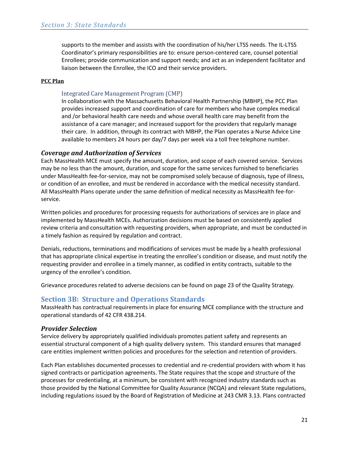supports to the member and assists with the coordination of his/her LTSS needs. The IL-LTSS Coordinator's primary responsibilities are to: ensure person-centered care, counsel potential Enrollees; provide communication and support needs; and act as an independent facilitator and liaison between the Enrollee, the ICO and their service providers.

#### **PCC Plan**

#### Integrated Care Management Program (CMP)

In collaboration with the Massachusetts Behavioral Health Partnership (MBHP), the PCC Plan provides increased support and coordination of care for members who have complex medical and /or behavioral health care needs and whose overall health care may benefit from the assistance of a care manager; and increased support for the providers that regularly manage their care. In addition, through its contract with MBHP, the Plan operates a Nurse Advice Line available to members 24 hours per day/7 days per week via a toll free telephone number.

## <span id="page-20-0"></span>*Coverage and Authorization of Services*

Each MassHealth MCE must specify the amount, duration, and scope of each covered service. Services may be no less than the amount, duration, and scope for the same services furnished to beneficiaries under MassHealth fee-for-service, may not be compromised solely because of diagnosis, type of illness, or condition of an enrollee, and must be rendered in accordance with the medical necessity standard. All MassHealth Plans operate under the same definition of medical necessity as MassHealth fee-forservice.

Written policies and procedures for processing requests for authorizations of services are in place and implemented by MassHealth MCEs. Authorization decisions must be based on consistently applied review criteria and consultation with requesting providers, when appropriate, and must be conducted in a timely fashion as required by regulation and contract.

Denials, reductions, terminations and modifications of services must be made by a health professional that has appropriate clinical expertise in treating the enrollee's condition or disease, and must notify the requesting provider and enrollee in a timely manner, as codified in entity contracts, suitable to the urgency of the enrollee's condition.

Grievance procedures related to adverse decisions can be found on pag[e 23](#page-22-1) of the Quality Strategy.

## <span id="page-20-1"></span>**Section 3B: Structure and Operations Standards**

MassHealth has contractual requirements in place for ensuring MCE compliance with the structure and operational standards of 42 CFR 438.214.

#### <span id="page-20-2"></span>*Provider Selection*

Service delivery by appropriately qualified individuals promotes patient safety and represents an essential structural component of a high quality delivery system. This standard ensures that managed care entities implement written policies and procedures for the selection and retention of providers.

Each Plan establishes documented processes to credential and re-credential providers with whom it has signed contracts or participation agreements. The State requires that the scope and structure of the processes for credentialing, at a minimum, be consistent with recognized industry standards such as those provided by the National Committee for Quality Assurance (NCQA) and relevant State regulations, including regulations issued by the Board of Registration of Medicine at 243 CMR 3.13. Plans contracted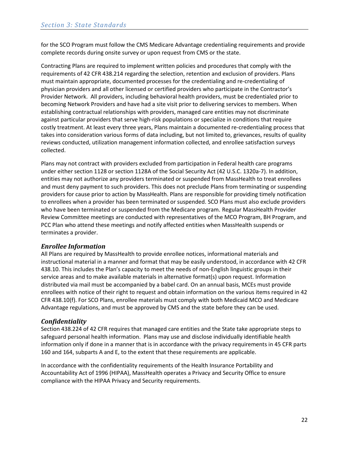for the SCO Program must follow the CMS Medicare Advantage credentialing requirements and provide complete records during onsite survey or upon request from CMS or the state.

Contracting Plans are required to implement written policies and procedures that comply with the requirements of 42 CFR 438.214 regarding the selection, retention and exclusion of providers. Plans must maintain appropriate, documented processes for the credentialing and re-credentialing of physician providers and all other licensed or certified providers who participate in the Contractor's Provider Network. All providers, including behavioral health providers, must be credentialed prior to becoming Network Providers and have had a site visit prior to delivering services to members. When establishing contractual relationships with providers, managed care entities may not discriminate against particular providers that serve high-risk populations or specialize in conditions that require costly treatment. At least every three years, Plans maintain a documented re-credentialing process that takes into consideration various forms of data including, but not limited to, grievances, results of quality reviews conducted, utilization management information collected, and enrollee satisfaction surveys collected.

Plans may not contract with providers excluded from participation in Federal health care programs under either section 1128 or section 1128A of the Social Security Act (42 U.S.C. 1320a-7). In addition, entities may not authorize any providers terminated or suspended from MassHealth to treat enrollees and must deny payment to such providers. This does not preclude Plans from terminating or suspending providers for cause prior to action by MassHealth. Plans are responsible for providing timely notification to enrollees when a provider has been terminated or suspended. SCO Plans must also exclude providers who have been terminated or suspended from the Medicare program. Regular MassHealth Provider Review Committee meetings are conducted with representatives of the MCO Program, BH Program, and PCC Plan who attend these meetings and notify affected entities when MassHealth suspends or terminates a provider.

## <span id="page-21-0"></span>*Enrollee Information*

All Plans are required by MassHealth to provide enrollee notices, informational materials and instructional material in a manner and format that may be easily understood, in accordance with 42 CFR 438.10. This includes the Plan's capacity to meet the needs of non-English linguistic groups in their service areas and to make available materials in alternative format(s) upon request. Information distributed via mail must be accompanied by a babel card. On an annual basis, MCEs must provide enrollees with notice of their right to request and obtain information on the various items required in 42 CFR 438.10(f). For SCO Plans, enrollee materials must comply with both Medicaid MCO and Medicare Advantage regulations, and must be approved by CMS and the state before they can be used.

## <span id="page-21-1"></span>*Confidentiality*

Section 438.224 of 42 CFR requires that managed care entities and the State take appropriate steps to safeguard personal health information. Plans may use and disclose individually identifiable health information only if done in a manner that is in accordance with the privacy requirements in 45 CFR parts 160 and 164, subparts A and E, to the extent that these requirements are applicable.

In accordance with the confidentiality requirements of the Health Insurance Portability and Accountability Act of 1996 (HIPAA), MassHealth operates a Privacy and Security Office to ensure compliance with the HIPAA Privacy and Security requirements.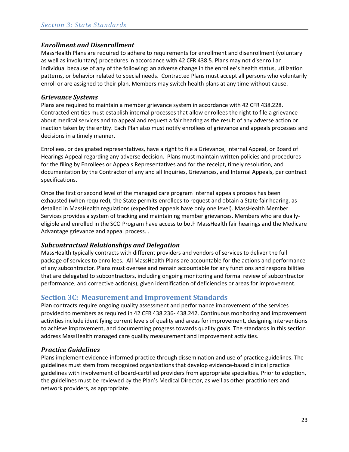## <span id="page-22-0"></span>*Enrollment and Disenrollment*

MassHealth Plans are required to adhere to requirements for enrollment and disenrollment (voluntary as well as involuntary) procedures in accordance with 42 CFR 438.5. Plans may not disenroll an individual because of any of the following: an adverse change in the enrollee's health status, utilization patterns, or behavior related to special needs. Contracted Plans must accept all persons who voluntarily enroll or are assigned to their plan. Members may switch health plans at any time without cause.

## <span id="page-22-1"></span>*Grievance Systems*

Plans are required to maintain a member grievance system in accordance with 42 CFR 438.228. Contracted entities must establish internal processes that allow enrollees the right to file a grievance about medical services and to appeal and request a fair hearing as the result of any adverse action or inaction taken by the entity. Each Plan also must notify enrollees of grievance and appeals processes and decisions in a timely manner.

Enrollees, or designated representatives, have a right to file a Grievance, Internal Appeal, or Board of Hearings Appeal regarding any adverse decision. Plans must maintain written policies and procedures for the filing by Enrollees or Appeals Representatives and for the receipt, timely resolution, and documentation by the Contractor of any and all Inquiries, Grievances, and Internal Appeals, per contract specifications.

Once the first or second level of the managed care program internal appeals process has been exhausted (when required), the State permits enrollees to request and obtain a State fair hearing, as detailed in MassHealth regulations (expedited appeals have only one level). MassHealth Member Services provides a system of tracking and maintaining member grievances. Members who are duallyeligible and enrolled in the SCO Program have access to both MassHealth fair hearings and the Medicare Advantage grievance and appeal process. .

## <span id="page-22-2"></span>*Subcontractual Relationships and Delegation*

MassHealth typically contracts with different providers and vendors of services to deliver the full package of services to enrollees. All MassHealth Plans are accountable for the actions and performance of any subcontractor. Plans must oversee and remain accountable for any functions and responsibilities that are delegated to subcontractors, including ongoing monitoring and formal review of subcontractor performance, and corrective action(s), given identification of deficiencies or areas for improvement.

## <span id="page-22-3"></span>**Section 3C: Measurement and Improvement Standards**

Plan contracts require ongoing quality assessment and performance improvement of the services provided to members as required in 42 CFR 438.236- 438.242. Continuous monitoring and improvement activities include identifying current levels of quality and areas for improvement, designing interventions to achieve improvement, and documenting progress towards quality goals. The standards in this section address MassHealth managed care quality measurement and improvement activities.

## <span id="page-22-4"></span>*Practice Guidelines*

Plans implement evidence-informed practice through dissemination and use of practice guidelines. The guidelines must stem from recognized organizations that develop evidence-based clinical practice guidelines with involvement of board-certified providers from appropriate specialties. Prior to adoption, the guidelines must be reviewed by the Plan's Medical Director, as well as other practitioners and network providers, as appropriate.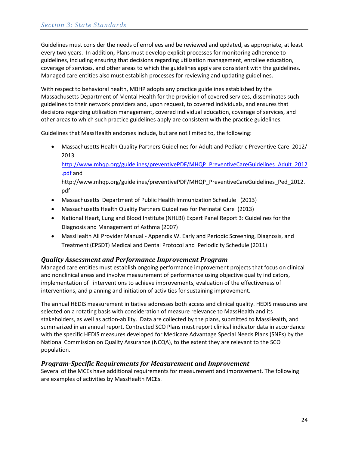Guidelines must consider the needs of enrollees and be reviewed and updated, as appropriate, at least every two years. In addition**,** Plans must develop explicit processes for monitoring adherence to guidelines, including ensuring that decisions regarding utilization management, enrollee education, coverage of services, and other areas to which the guidelines apply are consistent with the guidelines. Managed care entities also must establish processes for reviewing and updating guidelines.

With respect to behavioral health, MBHP adopts any practice guidelines established by the Massachusetts Department of Mental Health for the provision of covered services, disseminates such guidelines to their network providers and, upon request, to covered individuals, and ensures that decisions regarding utilization management, covered individual education, coverage of services, and other areas to which such practice guidelines apply are consistent with the practice guidelines.

Guidelines that MassHealth endorses include, but are not limited to, the following:

• Massachusetts Health Quality Partners Guidelines for Adult and Pediatric Preventive Care 2012/ 2013

[http://www.mhqp.org/guidelines/preventivePDF/MHQP\\_PreventiveCareGuidelines\\_Adult\\_2012](http://www.mhqp.org/guidelines/preventivePDF/MHQP_PreventiveCareGuidelines_Adult_2012.pdf) [.pdf](http://www.mhqp.org/guidelines/preventivePDF/MHQP_PreventiveCareGuidelines_Adult_2012.pdf) and

http://www.mhqp.org/guidelines/preventivePDF/MHQP\_PreventiveCareGuidelines\_Ped\_2012. pdf

- Massachusetts Department of Public Health Immunization Schedule (2013)
- Massachusetts Health Quality Partners Guidelines for Perinatal Care (2013)
- National Heart, Lung and Blood Institute (NHLBI) Expert Panel Report 3: Guidelines for the Diagnosis and Management of Asthma (2007)
- MassHealth All Provider Manual Appendix W. Early and Periodic Screening, Diagnosis, and Treatment (EPSDT) Medical and Dental Protocol and Periodicity Schedule (2011)

## <span id="page-23-0"></span>*Quality Assessment and Performance Improvement Program*

Managed care entities must establish ongoing performance improvement projects that focus on clinical and nonclinical areas and involve measurement of performance using objective quality indicators, implementation of interventions to achieve improvements, evaluation of the effectiveness of interventions, and planning and initiation of activities for sustaining improvement.

The annual HEDIS measurement initiative addresses both access and clinical quality. HEDIS measures are selected on a rotating basis with consideration of measure relevance to MassHealth and its stakeholders, as well as action-ability. Data are collected by the plans, submitted to MassHealth, and summarized in an annual report. Contracted SCO Plans must report clinical indicator data in accordance with the specific HEDIS measures developed for Medicare Advantage Special Needs Plans (SNPs) by the National Commission on Quality Assurance (NCQA), to the extent they are relevant to the SCO population.

## <span id="page-23-1"></span>*Program-Specific Requirements for Measurement and Improvement*

Several of the MCEs have additional requirements for measurement and improvement. The following are examples of activities by MassHealth MCEs.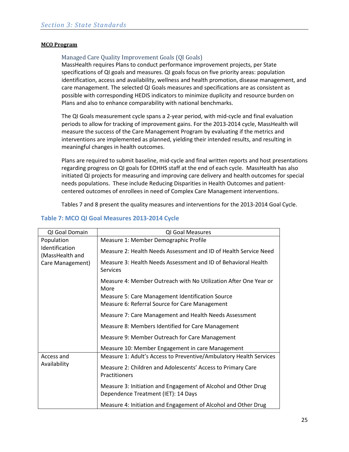#### **MCO Program**

#### Managed Care Quality Improvement Goals (QI Goals)

MassHealth requires Plans to conduct performance improvement projects, per State specifications of QI goals and measures. QI goals focus on five priority areas: population identification, access and availability, wellness and health promotion, disease management, and care management. The selected QI Goals measures and specifications are as consistent as possible with corresponding HEDIS indicators to minimize duplicity and resource burden on Plans and also to enhance comparability with national benchmarks.

The QI Goals measurement cycle spans a 2-year period, with mid-cycle and final evaluation periods to allow for tracking of improvement gains. For the 2013-2014 cycle, MassHealth will measure the success of the Care Management Program by evaluating if the metrics and interventions are implemented as planned, yielding their intended results, and resulting in meaningful changes in health outcomes.

Plans are required to submit baseline, mid-cycle and final written reports and host presentations regarding progress on QI goals for EOHHS staff at the end of each cycle. MassHealth has also initiated QI projects for measuring and improving care delivery and health outcomes for special needs populations. These include Reducing Disparities in Health Outcomes and patientcentered outcomes of enrollees in need of Complex Care Management interventions.

Tables 7 and 8 present the quality measures and interventions for the 2013-2014 Goal Cycle.

| QI Goal Domain                    | <b>QI Goal Measures</b>                                                                                   |
|-----------------------------------|-----------------------------------------------------------------------------------------------------------|
| Population                        | Measure 1: Member Demographic Profile                                                                     |
| Identification<br>(MassHealth and | Measure 2: Health Needs Assessment and ID of Health Service Need                                          |
| Care Management)                  | Measure 3: Health Needs Assessment and ID of Behavioral Health<br><b>Services</b>                         |
|                                   | Measure 4: Member Outreach with No Utilization After One Year or<br>More                                  |
|                                   | <b>Measure 5: Care Management Identification Source</b><br>Measure 6: Referral Source for Care Management |
|                                   | Measure 7: Care Management and Health Needs Assessment                                                    |
|                                   | Measure 8: Members Identified for Care Management                                                         |
|                                   | Measure 9: Member Outreach for Care Management                                                            |
|                                   | Measure 10: Member Engagement in care Management                                                          |
| Access and                        | Measure 1: Adult's Access to Preventive/Ambulatory Health Services                                        |
| Availability                      | Measure 2: Children and Adolescents' Access to Primary Care<br>Practitioners                              |
|                                   | Measure 3: Initiation and Engagement of Alcohol and Other Drug<br>Dependence Treatment (IET): 14 Days     |
|                                   | Measure 4: Initiation and Engagement of Alcohol and Other Drug                                            |

## **Table 7: MCO QI Goal Measures 2013-2014 Cycle**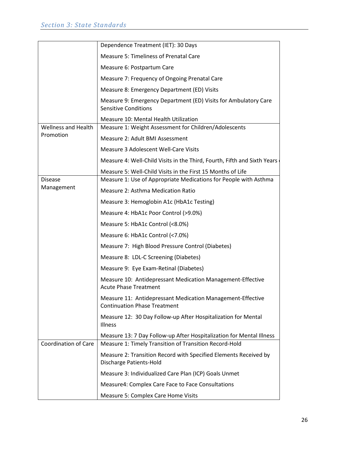|                             | Dependence Treatment (IET): 30 Days                                                                                            |
|-----------------------------|--------------------------------------------------------------------------------------------------------------------------------|
|                             | Measure 5: Timeliness of Prenatal Care                                                                                         |
|                             | Measure 6: Postpartum Care                                                                                                     |
|                             | Measure 7: Frequency of Ongoing Prenatal Care                                                                                  |
|                             | Measure 8: Emergency Department (ED) Visits                                                                                    |
|                             | Measure 9: Emergency Department (ED) Visits for Ambulatory Care<br><b>Sensitive Conditions</b>                                 |
|                             | Measure 10: Mental Health Utilization                                                                                          |
| <b>Wellness and Health</b>  | Measure 1: Weight Assessment for Children/Adolescents                                                                          |
| Promotion                   | Measure 2: Adult BMI Assessment                                                                                                |
|                             | Measure 3 Adolescent Well-Care Visits                                                                                          |
|                             | Measure 4: Well-Child Visits in the Third, Fourth, Fifth and Sixth Years                                                       |
|                             | Measure 5: Well-Child Visits in the First 15 Months of Life                                                                    |
| <b>Disease</b>              | Measure 1: Use of Appropriate Medications for People with Asthma                                                               |
| Management                  | Measure 2: Asthma Medication Ratio                                                                                             |
|                             | Measure 3: Hemoglobin A1c (HbA1c Testing)                                                                                      |
|                             | Measure 4: HbA1c Poor Control (>9.0%)                                                                                          |
|                             | Measure 5: HbA1c Control (<8.0%)                                                                                               |
|                             | Measure 6: HbA1c Control (<7.0%)                                                                                               |
|                             | Measure 7: High Blood Pressure Control (Diabetes)                                                                              |
|                             | Measure 8: LDL-C Screening (Diabetes)                                                                                          |
|                             | Measure 9: Eye Exam-Retinal (Diabetes)                                                                                         |
|                             | Measure 10: Antidepressant Medication Management-Effective<br><b>Acute Phase Treatment</b>                                     |
|                             | Measure 11: Antidepressant Medication Management-Effective<br><b>Continuation Phase Treatment</b>                              |
|                             | Measure 12: 30 Day Follow-up After Hospitalization for Mental<br><b>Illness</b>                                                |
| <b>Coordination of Care</b> | Measure 13: 7 Day Follow-up After Hospitalization for Mental Illness<br>Measure 1: Timely Transition of Transition Record-Hold |
|                             | Measure 2: Transition Record with Specified Elements Received by<br>Discharge Patients-Hold                                    |
|                             | Measure 3: Individualized Care Plan (ICP) Goals Unmet                                                                          |
|                             | Measure4: Complex Care Face to Face Consultations                                                                              |
|                             | Measure 5: Complex Care Home Visits                                                                                            |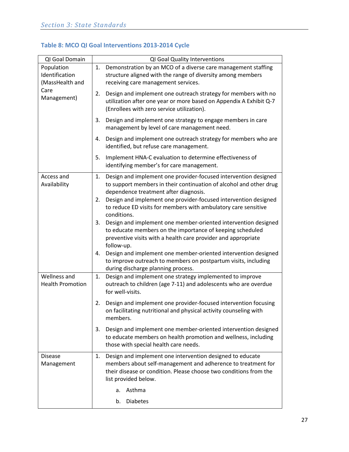| QI Goal Domain                                  | QI Goal Quality Interventions                                                                                                                                                                                                |
|-------------------------------------------------|------------------------------------------------------------------------------------------------------------------------------------------------------------------------------------------------------------------------------|
| Population<br>Identification<br>(MassHealth and | Demonstration by an MCO of a diverse care management staffing<br>1.<br>structure aligned with the range of diversity among members<br>receiving care management services.                                                    |
| Care<br>Management)                             | Design and implement one outreach strategy for members with no<br>2.<br>utilization after one year or more based on Appendix A Exhibit Q-7<br>(Enrollees with zero service utilization).                                     |
|                                                 | 3.<br>Design and implement one strategy to engage members in care<br>management by level of care management need.                                                                                                            |
|                                                 | 4.<br>Design and implement one outreach strategy for members who are<br>identified, but refuse care management.                                                                                                              |
|                                                 | 5.<br>Implement HNA-C evaluation to determine effectiveness of<br>identifying member's for care management.                                                                                                                  |
| Access and<br>Availability                      | Design and implement one provider-focused intervention designed<br>1.<br>to support members in their continuation of alcohol and other drug<br>dependence treatment after diagnosis.                                         |
|                                                 | Design and implement one provider-focused intervention designed<br>2.<br>to reduce ED visits for members with ambulatory care sensitive<br>conditions.                                                                       |
|                                                 | Design and implement one member-oriented intervention designed<br>3.<br>to educate members on the importance of keeping scheduled<br>preventive visits with a health care provider and appropriate<br>follow-up.             |
|                                                 | Design and implement one member-oriented intervention designed<br>4.<br>to improve outreach to members on postpartum visits, including<br>during discharge planning process.                                                 |
| Wellness and<br><b>Health Promotion</b>         | Design and implement one strategy implemented to improve<br>1.<br>outreach to children (age 7-11) and adolescents who are overdue<br>for well-visits.                                                                        |
|                                                 | Design and implement one provider-focused intervention focusing<br>2.<br>on facilitating nutritional and physical activity counseling with<br>members.                                                                       |
|                                                 | Design and implement one member-oriented intervention designed<br>3.<br>to educate members on health promotion and wellness, including<br>those with special health care needs.                                              |
| <b>Disease</b><br>Management                    | Design and implement one intervention designed to educate<br>1.<br>members about self-management and adherence to treatment for<br>their disease or condition. Please choose two conditions from the<br>list provided below. |
|                                                 | Asthma<br>a.                                                                                                                                                                                                                 |
|                                                 | b.<br><b>Diabetes</b>                                                                                                                                                                                                        |

# **Table 8: MCO QI Goal Interventions 2013-2014 Cycle**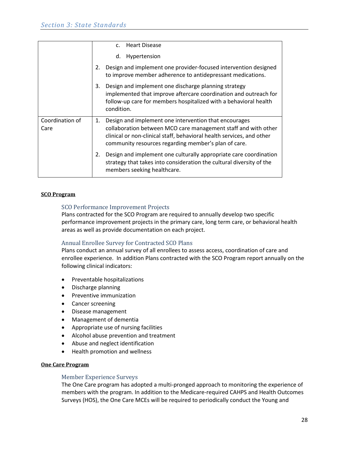|                         |    | <b>Heart Disease</b><br>C <sub>1</sub>                                                                                                                                                                                                                   |
|-------------------------|----|----------------------------------------------------------------------------------------------------------------------------------------------------------------------------------------------------------------------------------------------------------|
|                         |    | Hypertension<br>d.                                                                                                                                                                                                                                       |
|                         | 2. | Design and implement one provider-focused intervention designed<br>to improve member adherence to antidepressant medications.                                                                                                                            |
|                         | 3. | Design and implement one discharge planning strategy<br>implemented that improve aftercare coordination and outreach for<br>follow-up care for members hospitalized with a behavioral health<br>condition.                                               |
| Coordination of<br>Care | 1. | Design and implement one intervention that encourages<br>collaboration between MCO care management staff and with other<br>clinical or non-clinical staff, behavioral health services, and other<br>community resources regarding member's plan of care. |
|                         | 2. | Design and implement one culturally appropriate care coordination<br>strategy that takes into consideration the cultural diversity of the<br>members seeking healthcare.                                                                                 |

#### **SCO Program**

#### SCO Performance Improvement Projects

Plans contracted for the SCO Program are required to annually develop two specific performance improvement projects in the primary care, long term care, or behavioral health areas as well as provide documentation on each project.

#### Annual Enrollee Survey for Contracted SCO Plans

Plans conduct an annual survey of all enrollees to assess access, coordination of care and enrollee experience. In addition Plans contracted with the SCO Program report annually on the following clinical indicators:

- Preventable hospitalizations
- Discharge planning
- Preventive immunization
- Cancer screening
- Disease management
- Management of dementia
- Appropriate use of nursing facilities
- Alcohol abuse prevention and treatment
- Abuse and neglect identification
- Health promotion and wellness

#### **One Care Program**

#### Member Experience Surveys

The One Care program has adopted a multi-pronged approach to monitoring the experience of members with the program. In addition to the Medicare-required CAHPS and Health Outcomes Surveys (HOS), the One Care MCEs will be required to periodically conduct the Young and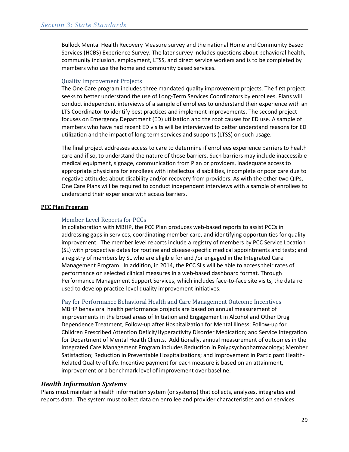Bullock Mental Health Recovery Measure survey and the national Home and Community Based Services (HCBS) Experience Survey. The later survey includes questions about behavioral health, community inclusion, employment, LTSS, and direct service workers and is to be completed by members who use the home and community based services.

#### Quality Improvement Projects

The One Care program includes three mandated quality improvement projects. The first project seeks to better understand the use of Long-Term Services Coordinators by enrollees. Plans will conduct independent interviews of a sample of enrollees to understand their experience with an LTS Coordinator to identify best practices and implement improvements. The second project focuses on Emergency Department (ED) utilization and the root causes for ED use. A sample of members who have had recent ED visits will be interviewed to better understand reasons for ED utilization and the impact of long term services and supports (LTSS) on such usage.

The final project addresses access to care to determine if enrollees experience barriers to health care and if so, to understand the nature of those barriers. Such barriers may include inaccessible medical equipment, signage, communication from Plan or providers, inadequate access to appropriate physicians for enrollees with intellectual disabilities, incomplete or poor care due to negative attitudes about disability and/or recovery from providers. As with the other two QIPs, One Care Plans will be required to conduct independent interviews with a sample of enrollees to understand their experience with access barriers.

#### **PCC Plan Program**

#### Member Level Reports for PCCs

In collaboration with MBHP, the PCC Plan produces web-based reports to assist PCCs in addressing gaps in services, coordinating member care, and identifying opportunities for quality improvement. The member level reports include a registry of members by PCC Service Location (SL) with prospective dates for routine and disease-specific medical appointments and tests; and a registry of members by SL who are eligible for and /or engaged in the Integrated Care Management Program. In addition, in 2014, the PCC SLs will be able to access their rates of performance on selected clinical measures in a web-based dashboard format. Through Performance Management Support Services, which includes face-to-face site visits, the data re used to develop practice-level quality improvement initiatives.

## Pay for Performance Behavioral Health and Care Management Outcome Incentives

MBHP behavioral health performance projects are based on annual measurement of improvements in the broad areas of Initiation and Engagement in Alcohol and Other Drug Dependence Treatment, Follow-up after Hospitalization for Mental Illness; Follow-up for Children Prescribed Attention Deficit/Hyperactivity Disorder Medication; and Service Integration for Department of Mental Health Clients. Additionally, annual measurement of outcomes in the Integrated Care Management Program includes Reduction in Polypsychopharmacology; Member Satisfaction; Reduction in Preventable Hospitalizations; and Improvement in Participant Health-Related Quality of Life. Incentive payment for each measure is based on an attainment, improvement or a benchmark level of improvement over baseline.

#### <span id="page-28-0"></span>*Health Information Systems*

Plans must maintain a health information system (or systems) that collects, analyzes, integrates and reports data. The system must collect data on enrollee and provider characteristics and on services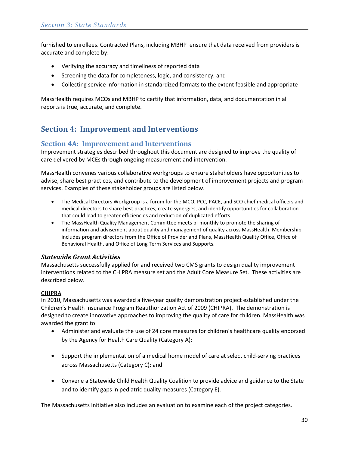furnished to enrollees. Contracted Plans, including MBHP ensure that data received from providers is accurate and complete by:

- Verifying the accuracy and timeliness of reported data
- Screening the data for completeness, logic, and consistency; and
- Collecting service information in standardized formats to the extent feasible and appropriate

MassHealth requires MCOs and MBHP to certify that information, data, and documentation in all reports is true, accurate, and complete.

# <span id="page-29-0"></span>**Section 4: Improvement and Interventions**

## <span id="page-29-1"></span>**Section 4A: Improvement and Interventions**

Improvement strategies described throughout this document are designed to improve the quality of care delivered by MCEs through ongoing measurement and intervention.

MassHealth convenes various collaborative workgroups to ensure stakeholders have opportunities to advise, share best practices, and contribute to the development of improvement projects and program services. Examples of these stakeholder groups are listed below.

- The Medical Directors Workgroup is a forum for the MCO, PCC, PACE, and SCO chief medical officers and medical directors to share best practices, create synergies, and identify opportunities for collaboration that could lead to greater efficiencies and reduction of duplicated efforts.
- The MassHealth Quality Management Committee meets bi-monthly to promote the sharing of information and advisement about quality and management of quality across MassHealth. Membership includes program directors from the Office of Provider and Plans, MassHealth Quality Office, Office of Behavioral Health, and Office of Long Term Services and Supports.

## <span id="page-29-2"></span>*Statewide Grant Activities*

Massachusetts successfully applied for and received two CMS grants to design quality improvement interventions related to the CHIPRA measure set and the Adult Core Measure Set. These activities are described below.

#### **CHIPRA**

In 2010, Massachusetts was awarded a five-year quality demonstration project established under the Children's Health Insurance Program Reauthorization Act of 2009 (CHIPRA). The demonstration is designed to create innovative approaches to improving the quality of care for children. MassHealth was awarded the grant to:

- Administer and evaluate the use of 24 core measures for children's healthcare quality endorsed by the Agency for Health Care Quality (Category A);
- Support the implementation of a medical home model of care at select child-serving practices across Massachusetts (Category C); and
- Convene a Statewide Child Health Quality Coalition to provide advice and guidance to the State and to identify gaps in pediatric quality measures (Category E).

The Massachusetts Initiative also includes an evaluation to examine each of the project categories.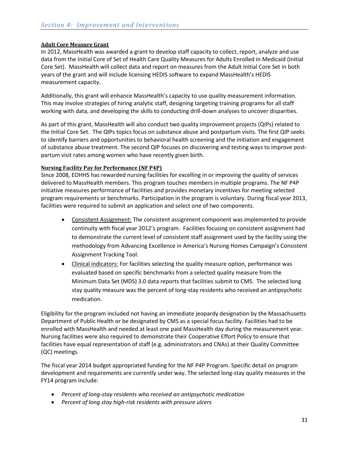#### **Adult Core Measure Grant**

In 2012, MassHealth was awarded a grant to develop staff capacity to collect, report, analyze and use data from the Initial Core of Set of Health Care Quality Measures for Adults Enrolled in Medicaid (Initial Core Set). MassHealth will collect data and report on measures from the Adult Initial Core Set in both years of the grant and will include licensing HEDIS software to expand MassHealth's HEDIS measurement capacity.

Additionally, this grant will enhance MassHealth's capacity to use quality measurement information. This may involve strategies of hiring analytic staff, designing targeting training programs for all staff working with data, and developing the skills to conducting drill-down analyses to uncover disparities.

As part of this grant, MassHealth will also conduct two quality improvement projects (QIPs) related to the Initial Core Set. The QIPs topics focus on substance abuse and postpartum visits. The first QIP seeks to identify barriers and opportunities to behavioral health screening and the initiation and engagement of substance abuse treatment. The second QIP focuses on discovering and testing ways to improve postpartum visit rates among women who have recently given birth.

#### **Nursing Facility Pay for Performance (NF P4P)**

Since 2008, EOHHS has rewarded nursing facilities for excelling in or improving the quality of services delivered to MassHealth members. This program touches members in multiple programs. The NF P4P initiative measures performance of facilities and provides monetary incentives for meeting selected program requirements or benchmarks. Participation in the program is voluntary. During fiscal year 2013, facilities were required to submit an application and select one of two components.

- Consistent Assignment: The consistent assignment component was implemented to provide continuity with fiscal year 2012's program. Facilities focusing on consistent assignment had to demonstrate the current level of consistent staff assignment used by the facility using the methodology from Advancing Excellence in America's Nursing Homes Campaign's Consistent Assignment Tracking Tool.
- Clinical indicators: For facilities selecting the quality measure option, performance was evaluated based on specific benchmarks from a selected quality measure from the Minimum Data Set (MDS) 3.0 data reports that facilities submit to CMS. The selected long stay quality measure was the percent of long-stay residents who received an antipsychotic medication.

Eligibility for the program included not having an immediate jeopardy designation by the Massachusetts Department of Public Health or be designated by CMS as a special focus facility. Facilities had to be enrolled with MassHealth and needed at least one paid MassHealth day during the measurement year. Nursing facilities were also required to demonstrate their Cooperative Effort Policy to ensure that facilities have equal representation of staff (e.g. administrators and CNAs) at their Quality Committee (QC) meetings.

The fiscal year 2014 budget appropriated funding for the NF P4P Program. Specific detail on program development and requirements are currently under way. The selected long-stay quality measures in the FY14 program include:

- *Percent of long-stay residents who received an antipsychotic medication*
- *Percent of long stay high-risk residents with pressure ulcers*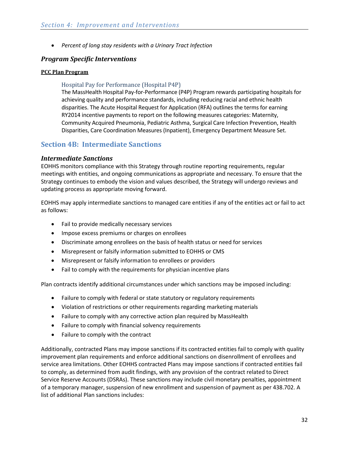• *Percent of long stay residents with a Urinary Tract Infection*

## <span id="page-31-0"></span>*Program Specific Interventions*

#### **PCC Plan Program**

## Hospital Pay for Performance (Hospital P4P)

The MassHealth Hospital Pay-for-Performance (P4P) Program rewards participating hospitals for achieving quality and performance standards, including reducing racial and ethnic health disparities. The Acute Hospital Request for Application (RFA) outlines the terms for earning RY2014 incentive payments to report on the following measures categories: Maternity, Community Acquired Pneumonia, Pediatric Asthma, Surgical Care Infection Prevention, Health Disparities, Care Coordination Measures (Inpatient), Emergency Department Measure Set.

## <span id="page-31-1"></span>**Section 4B: Intermediate Sanctions**

## <span id="page-31-2"></span>*Intermediate Sanctions*

EOHHS monitors compliance with this Strategy through routine reporting requirements, regular meetings with entities, and ongoing communications as appropriate and necessary. To ensure that the Strategy continues to embody the vision and values described, the Strategy will undergo reviews and updating process as appropriate moving forward.

EOHHS may apply intermediate sanctions to managed care entities if any of the entities act or fail to act as follows:

- Fail to provide medically necessary services
- Impose excess premiums or charges on enrollees
- Discriminate among enrollees on the basis of health status or need for services
- Misrepresent or falsify information submitted to EOHHS or CMS
- Misrepresent or falsify information to enrollees or providers
- Fail to comply with the requirements for physician incentive plans

Plan contracts identify additional circumstances under which sanctions may be imposed including:

- Failure to comply with federal or state statutory or regulatory requirements
- Violation of restrictions or other requirements regarding marketing materials
- Failure to comply with any corrective action plan required by MassHealth
- Failure to comply with financial solvency requirements
- Failure to comply with the contract

Additionally, contracted Plans may impose sanctions if its contracted entities fail to comply with quality improvement plan requirements and enforce additional sanctions on disenrollment of enrollees and service area limitations. Other EOHHS contracted Plans may impose sanctions if contracted entities fail to comply, as determined from audit findings, with any provision of the contract related to Direct Service Reserve Accounts (DSRAs). These sanctions may include civil monetary penalties, appointment of a temporary manager, suspension of new enrollment and suspension of payment as per 438.702. A list of additional Plan sanctions includes: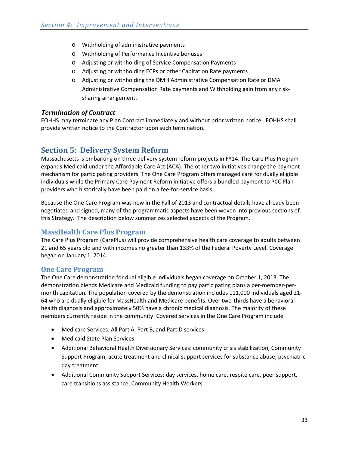- o Withholding of administrative payments
- o Withholding of Performance Incentive bonuses
- o Adjusting or withholding of Service Compensation Payments
- o Adjusting or withholding ECPs or other Capitation Rate payments
- o Adjusting or withholding the DMH Administrative Compensation Rate or DMA Administrative Compensation Rate payments and Withholding gain from any risksharing arrangement.

## <span id="page-32-0"></span>*Termination of Contract*

EOHHS may terminate any Plan Contract immediately and without prior written notice. EOHHS shall provide written notice to the Contractor upon such termination.

## <span id="page-32-1"></span>**Section 5: Delivery System Reform**

Massachusetts is embarking on three delivery system reform projects in FY14. The Care Plus Program expands Medicaid under the Affordable Care Act (ACA). The other two initiatives change the payment mechanism for participating providers. The One Care Program offers managed care for dually eligible individuals while the Primary Care Payment Reform initiative offers a bundled payment to PCC Plan providers who historically have been paid on a fee-for-service basis.

Because the One Care Program was new in the Fall of 2013 and contractual details have already been negotiated and signed, many of the programmatic aspects have been woven into previous sections of this Strategy. The description below summarizes selected aspects of the Program.

## <span id="page-32-2"></span>**MassHealth Care Plus Program**

The Care Plus Program (CarePlus) will provide comprehensive health care coverage to adults between 21 and 65 years old and with incomes no greater than 133% of the Federal Poverty Level. Coverage began on January 1, 2014.

## **One Care Program**

The One Care demonstration for dual eligible individuals began coverage on October 1, 2013. The demonstration blends Medicare and Medicaid funding to pay participating plans a per-member-permonth capitation. The population covered by the demonstration includes 111,000 individuals aged 21- 64 who are dually eligible for MassHealth and Medicare benefits. Over two-thirds have a behavioral health diagnosis and approximately 50% have a chronic medical diagnosis. The majority of these members currently reside in the community. Covered services in the One Care Program include

- Medicare Services: All Part A, Part B, and Part D services
- Medicaid State Plan Services
- Additional Behavioral Health Diversionary Services: community crisis stabilization, Community Support Program, acute treatment and clinical support services for substance abuse, psychiatric day treatment
- Additional Community Support Services: day services, home care, respite care, peer support, care transitions assistance, Community Health Workers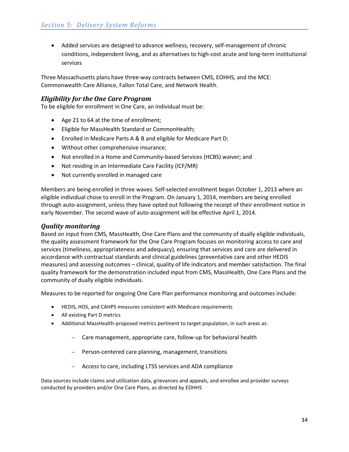• Added services are designed to advance wellness, recovery, self-management of chronic conditions, independent living, and as alternatives to high-cost acute and long-term institutional services

Three Massachusetts plans have three-way contracts between CMS, EOHHS, and the MCE: Commonwealth Care Alliance, Fallon Total Care, and Network Health.

## <span id="page-33-0"></span>*Eligibility for the One Care Program*

To be eligible for enrollment in One Care, an individual must be:

- Age 21 to 64 at the time of enrollment;
- Eligible for MassHealth Standard or CommonHealth;
- Enrolled in Medicare Parts A & B and eligible for Medicare Part D;
- Without other comprehensive insurance;
- Not enrolled in a Home and Community-based Services (HCBS) waiver; and
- Not residing in an Intermediate Care Facility (ICF/MR)
- Not currently enrolled in managed care

Members are being enrolled in three waves. Self-selected enrollment began October 1, 2013 where an eligible individual chose to enroll in the Program. On January 1, 2014, members are being enrolled through auto-assignment, unless they have opted out following the receipt of their enrollment notice in early November. The second wave of auto-assignment will be effective April 1, 2014.

## <span id="page-33-1"></span>*Quality monitoring*

Based on input from CMS, MassHealth, One Care Plans and the community of dually eligible individuals, the quality assessment framework for the One Care Program focuses on monitoring access to care and services (timeliness, appropriateness and adequacy), ensuring that services and care are delivered in accordance with contractual standards and clinical guidelines (preventative care and other HEDIS measures) and assessing outcomes – clinical, quality of life indicators and member satisfaction. The final quality framework for the demonstration included input from CMS, MassHealth, One Care Plans and the community of dually eligible individuals.

Measures to be reported for ongoing One Care Plan performance monitoring and outcomes include:

- HEDIS, HOS, and CAHPS measures consistent with Medicare requirements
- All existing Part D metrics
- Additional MassHealth-proposed metrics pertinent to target population, in such areas as:
	- Care management, appropriate care, follow-up for behavioral health
	- Person-centered care planning, management, transitions
	- Access to care, including LTSS services and ADA compliance

Data sources include claims and utilization data, grievances and appeals, and enrollee and provider surveys conducted by providers and/or One Care Plans, as directed by EOHHS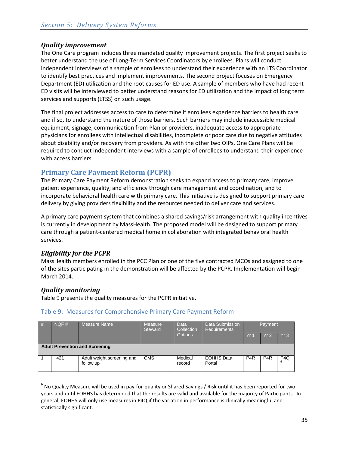## <span id="page-34-0"></span>*Quality improvement*

The One Care program includes three mandated quality improvement projects. The first project seeks to better understand the use of Long-Term Services Coordinators by enrollees. Plans will conduct independent interviews of a sample of enrollees to understand their experience with an LTS Coordinator to identify best practices and implement improvements. The second project focuses on Emergency Department (ED) utilization and the root causes for ED use. A sample of members who have had recent ED visits will be interviewed to better understand reasons for ED utilization and the impact of long term services and supports (LTSS) on such usage.

The final project addresses access to care to determine if enrollees experience barriers to health care and if so, to understand the nature of those barriers. Such barriers may include inaccessible medical equipment, signage, communication from Plan or providers, inadequate access to appropriate physicians for enrollees with intellectual disabilities, incomplete or poor care due to negative attitudes about disability and/or recovery from providers. As with the other two QIPs, One Care Plans will be required to conduct independent interviews with a sample of enrollees to understand their experience with access barriers.

## <span id="page-34-1"></span>**Primary Care Payment Reform (PCPR)**

The Primary Care Payment Reform demonstration seeks to expand access to primary care, improve patient experience, quality, and efficiency through care management and coordination, and to incorporate behavioral health care with primary care. This initiative is designed to support primary care delivery by giving providers flexibility and the resources needed to deliver care and services.

A primary care payment system that combines a shared savings/risk arrangement with quality incentives is currently in development by MassHealth. The proposed model will be designed to support primary care through a patient-centered medical home in collaboration with integrated behavioral health services.

## <span id="page-34-2"></span>*Eligibility for the PCPR*

<span id="page-34-3"></span>MassHealth members enrolled in the PCC Plan or one of the five contracted MCOs and assigned to one of the sites participating in the demonstration will be affected by the PCPR. Implementation will begin March 2014.

## *Quality monitoring*

 $\overline{\phantom{a}}$ 

[Table 9](#page-34-4) presents the quality measures for the PCPR initiative.

## <span id="page-34-4"></span>Table 9: Measures for Comprehensive Primary Care Payment Reform

| # | NOF#<br>Measure Name |                                         | <b>Measure</b><br>Steward | <b>Data</b><br>Collection | Data Submission<br><b>Requirements</b> | Payment         |                 |                  |  |
|---|----------------------|-----------------------------------------|---------------------------|---------------------------|----------------------------------------|-----------------|-----------------|------------------|--|
|   |                      |                                         |                           | <b>Options</b>            |                                        | Yr 1            | Yr <sub>2</sub> | Yr <sub>3</sub>  |  |
|   |                      | <b>Adult Prevention and Screening</b>   |                           |                           |                                        |                 |                 |                  |  |
|   | 421                  | Adult weight screening and<br>follow up | <b>CMS</b>                | Medical<br>record         | <b>EOHHS Data</b><br>Portal            | P <sub>4R</sub> | P <sub>4R</sub> | P <sub>4</sub> Q |  |

<span id="page-34-5"></span> $6$  No Quality Measure will be used in pay-for-quality or Shared Savings / Risk until it has been reported for two years and until EOHHS has determined that the results are valid and available for the majority of Participants. In general, EOHHS will only use measures in P4Q if the variation in performance is clinically meaningful and statistically significant.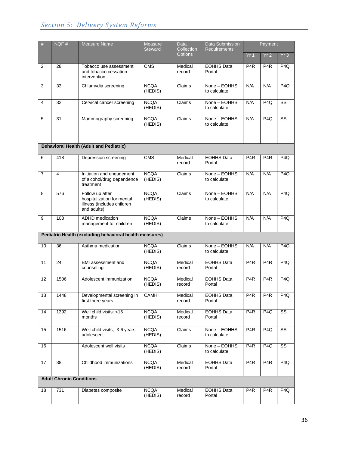## *Section 5: Delivery System Reforms*

| #              | NQF#                            | Measure Name                                                                               | Measure<br><b>Steward</b> | Data<br>Collection | <b>Data Submission</b><br><b>Requirements</b> | Payment          |                  |                        |  |
|----------------|---------------------------------|--------------------------------------------------------------------------------------------|---------------------------|--------------------|-----------------------------------------------|------------------|------------------|------------------------|--|
|                |                                 |                                                                                            |                           | <b>Options</b>     |                                               | Yr <sub>1</sub>  | Yr <sub>2</sub>  | Yr <sub>3</sub>        |  |
| 2              | 28                              | Tobacco use assessment<br>and tobacco cessation<br>intervention                            | <b>CMS</b>                | Medical<br>record  | <b>EOHHS Data</b><br>Portal                   | P <sub>4</sub> R | P <sub>4</sub> R | P <sub>4Q</sub>        |  |
| 3              | 33                              | Chlamydia screening                                                                        | <b>NCQA</b><br>(HEDIS)    | Claims             | None - EOHHS<br>to calculate                  | N/A              | N/A              | P <sub>4Q</sub>        |  |
| $\overline{4}$ | 32                              | Cervical cancer screening                                                                  | <b>NCQA</b><br>(HEDIS)    | Claims             | None - EOHHS<br>to calculate                  | N/A              | P4Q              | $\overline{\text{ss}}$ |  |
| 5              | 31                              | Mammography screening                                                                      | <b>NCQA</b><br>(HEDIS)    | Claims             | None - EOHHS<br>to calculate                  | N/A              | P <sub>4Q</sub>  | $\overline{\text{ss}}$ |  |
|                |                                 | <b>Behavioral Health (Adult and Pediatric)</b>                                             |                           |                    |                                               |                  |                  |                        |  |
| 6              | 418                             | Depression screening                                                                       | $\overline{\text{CMS}}$   | Medical<br>record  | <b>EOHHS Data</b><br>Portal                   | P <sub>4</sub> R | P <sub>4</sub> R | P <sub>4Q</sub>        |  |
| $\overline{7}$ | 4                               | Initiation and engagement<br>of alcohol/drug dependence<br>treatment                       | <b>NCQA</b><br>(HEDIS)    | Claims             | None - EOHHS<br>to calculate                  | N/A              | N/A              | P <sub>4Q</sub>        |  |
| 8              | 576                             | Follow up after<br>hospitalization for mental<br>illness (includes children<br>and adults) | <b>NCQA</b><br>(HEDIS)    | Claims             | None - EOHHS<br>to calculate                  | N/A              | N/A              | P <sub>4Q</sub>        |  |
| 9              | 108                             | <b>ADHD</b> medication<br>management for children                                          | <b>NCQA</b><br>(HEDIS)    | Claims             | None - EOHHS<br>to calculate                  | N/A              | N/A              | P <sub>4Q</sub>        |  |
|                |                                 | Pediatric Health (excluding behavioral health measures)                                    |                           |                    |                                               |                  |                  |                        |  |
| 10             | 36                              | Asthma medication                                                                          | <b>NCQA</b><br>(HEDIS)    | Claims             | None - EOHHS<br>to calculate                  | N/A              | N/A              | P <sub>4Q</sub>        |  |
| 11             | 24                              | BMI assessment and<br>counseling                                                           | <b>NCQA</b><br>(HEDIS)    | Medical<br>record  | <b>EOHHS Data</b><br>Portal                   | P <sub>4</sub> R | P4R              | P4Q                    |  |
| 12             | 1506                            | Adolescent immunization                                                                    | <b>NCQA</b><br>(HEDIS)    | Medical<br>record  | <b>EOHHS Data</b><br>Portal                   | P <sub>4</sub> R | P4R              | P <sub>4Q</sub>        |  |
| 13             | 1448                            | Developmental screening in<br>first three years                                            | <b>CAMHI</b>              | Medical<br>record  | <b>EOHHS Data</b><br>Portal                   | P <sub>4</sub> R | P <sub>4</sub> R | P <sub>4Q</sub>        |  |
| 14             | 1392                            | Well child visits: <15<br>months                                                           | <b>NCQA</b><br>(HEDIS)    | Medical<br>record  | <b>EOHHS Data</b><br>Portal                   | P <sub>4</sub> R | P4Q              | $\overline{\text{ss}}$ |  |
| 15             | 1516                            | Well child visits, 3-6 years,<br>adolescent                                                | <b>NCQA</b><br>(HEDIS)    | Claims             | None - EOHHS<br>to calculate                  | P <sub>4</sub> R | P <sub>4Q</sub>  | SS                     |  |
| 16             |                                 | Adolescent well visits                                                                     | <b>NCQA</b><br>(HEDIS)    | Claims             | None - EOHHS<br>to calculate                  | P <sub>4</sub> R | P <sub>4Q</sub>  | SS                     |  |
| 17             | 38                              | Childhood immunizations                                                                    | <b>NCQA</b><br>(HEDIS)    | Medical<br>record  | <b>EOHHS Data</b><br>Portal                   | P <sub>4</sub> R | P <sub>4</sub> R | P4Q                    |  |
|                | <b>Adult Chronic Conditions</b> |                                                                                            |                           |                    |                                               |                  |                  |                        |  |
| 18             | 731                             | Diabetes composite                                                                         | <b>NCQA</b><br>(HEDIS)    | Medical<br>record  | <b>EOHHS Data</b><br>Portal                   | P4R              | P <sub>4</sub> R | P <sub>4Q</sub>        |  |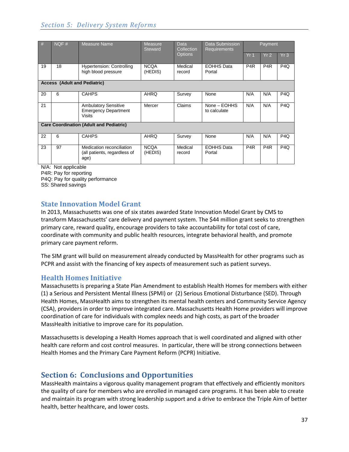## *Section 5: Delivery System Reforms*

| #  | NQF#                                           | <b>Measure Name</b>                                                         | <b>Measure</b><br><b>Steward</b> | Data<br>Collection | Data Submission<br><b>Requirements</b> | Payment          |                  |                 |  |
|----|------------------------------------------------|-----------------------------------------------------------------------------|----------------------------------|--------------------|----------------------------------------|------------------|------------------|-----------------|--|
|    |                                                |                                                                             |                                  | <b>Options</b>     |                                        | Yr <sub>1</sub>  | Yr2              | Yr3             |  |
| 19 | 18                                             | <b>Hypertension: Controlling</b><br>high blood pressure                     | <b>NCQA</b><br>(HEDIS)           | Medical<br>record  | <b>EOHHS Data</b><br>Portal            | P <sub>4R</sub>  | P <sub>4R</sub>  | P <sub>4Q</sub> |  |
|    | <b>Access (Adult and Pediatric)</b>            |                                                                             |                                  |                    |                                        |                  |                  |                 |  |
| 20 | 6                                              | <b>CAHPS</b>                                                                | <b>AHRQ</b>                      | Survey             | None                                   | N/A              | N/A              | P <sub>4Q</sub> |  |
| 21 |                                                | <b>Ambulatory Sensitive</b><br><b>Emergency Department</b><br><b>Visits</b> | Mercer                           | Claims             | None - EOHHS<br>to calculate           | N/A              | N/A              | P <sub>4Q</sub> |  |
|    | <b>Care Coordination (Adult and Pediatric)</b> |                                                                             |                                  |                    |                                        |                  |                  |                 |  |
| 22 | 6                                              | <b>CAHPS</b>                                                                | <b>AHRQ</b>                      | Survey             | None                                   | N/A              | N/A              | P <sub>4Q</sub> |  |
| 23 | 97                                             | Medication reconciliation<br>(all patients, regardless of<br>age)           | <b>NCQA</b><br>(HEDIS)           | Medical<br>record  | <b>EOHHS Data</b><br>Portal            | P <sub>4</sub> R | P <sub>4</sub> R | P <sub>4Q</sub> |  |
|    | N/A: Not applicable                            |                                                                             |                                  |                    |                                        |                  |                  |                 |  |

P4R: Pay for reporting

P4Q: Pay for quality performance SS: Shared savings

## <span id="page-36-0"></span>**State Innovation Model Grant**

In 2013, Massachusetts was one of six states awarded State Innovation Model Grant by CMS to transform Massachusetts' care delivery and payment system. The \$44 million grant seeks to strengthen primary care, reward quality, encourage providers to take accountability for total cost of care, coordinate with community and public health resources, integrate behavioral health, and promote primary care payment reform.

The SIM grant will build on measurement already conducted by MassHealth for other programs such as PCPR and assist with the financing of key aspects of measurement such as patient surveys.

## <span id="page-36-1"></span>**Health Homes Initiative**

Massachusetts is preparing a State Plan Amendment to establish Health Homes for members with either (1) a Serious and Persistent Mental Illness (SPMI) or (2) Serious Emotional Disturbance (SED). Through Health Homes, MassHealth aims to strengthen its mental health centers and Community Service Agency (CSA), providers in order to improve integrated care. Massachusetts Health Home providers will improve coordination of care for individuals with complex needs and high costs, as part of the broader MassHealth initiative to improve care for its population.

Massachusetts is developing a Health Homes approach that is well coordinated and aligned with other health care reform and cost control measures. In particular, there will be strong connections between Health Homes and the Primary Care Payment Reform (PCPR) Initiative.

# <span id="page-36-2"></span>**Section 6: Conclusions and Opportunities**

MassHealth maintains a vigorous quality management program that effectively and efficiently monitors the quality of care for members who are enrolled in managed care programs. It has been able to create and maintain its program with strong leadership support and a drive to embrace the Triple Aim of better health, better healthcare, and lower costs.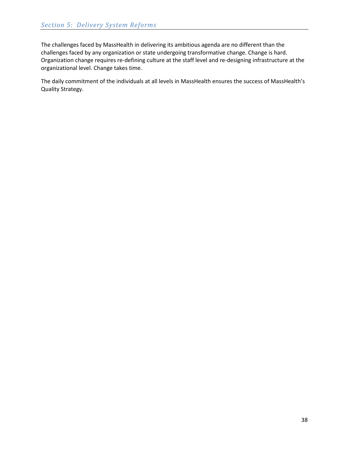The challenges faced by MassHealth in delivering its ambitious agenda are no different than the challenges faced by any organization or state undergoing transformative change. Change is hard. Organization change requires re-defining culture at the staff level and re-designing infrastructure at the organizational level. Change takes time.

The daily commitment of the individuals at all levels in MassHealth ensures the success of MassHealth's Quality Strategy.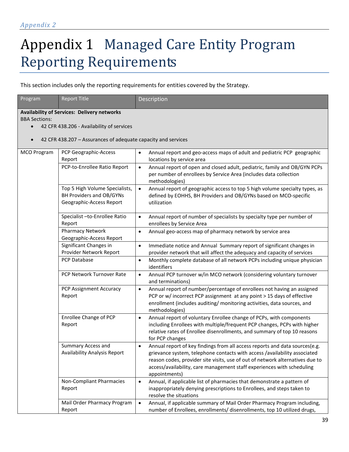# Appendix 1 Managed Care Entity Program Reporting Requirements

This section includes only the reporting requirements for entities covered by the Strategy.

| Program              | <b>Report Title</b>                                                                    | Description                                                                                                                                                                                                                                                                                                                                       |  |
|----------------------|----------------------------------------------------------------------------------------|---------------------------------------------------------------------------------------------------------------------------------------------------------------------------------------------------------------------------------------------------------------------------------------------------------------------------------------------------|--|
| <b>BBA Sections:</b> | <b>Availability of Services: Delivery networks</b>                                     |                                                                                                                                                                                                                                                                                                                                                   |  |
| $\bullet$            | 42 CFR 438.206 - Availability of services                                              |                                                                                                                                                                                                                                                                                                                                                   |  |
| $\bullet$            | 42 CFR 438.207 - Assurances of adequate capacity and services                          |                                                                                                                                                                                                                                                                                                                                                   |  |
| <b>MCO Program</b>   | PCP Geographic-Access<br>Report                                                        | Annual report and geo-access maps of adult and pediatric PCP geographic<br>$\bullet$<br>locations by service area                                                                                                                                                                                                                                 |  |
|                      | PCP-to-Enrollee Ratio Report                                                           | Annual report of open and closed adult, pediatric, family and OB/GYN PCPs<br>$\bullet$<br>per number of enrollees by Service Area (includes data collection<br>methodologies)                                                                                                                                                                     |  |
|                      | Top 5 High Volume Specialists,<br>BH Providers and OB/GYNs<br>Geographic-Access Report | Annual report of geographic access to top 5 high volume specialty types, as<br>$\bullet$<br>defined by EOHHS, BH Providers and OB/GYNs based on MCO-specific<br>utilization                                                                                                                                                                       |  |
|                      | Specialist -to-Enrollee Ratio<br>Report                                                | Annual report of number of specialists by specialty type per number of<br>$\bullet$<br>enrollees by Service Area                                                                                                                                                                                                                                  |  |
|                      | <b>Pharmacy Network</b><br>Geographic-Access Report                                    | Annual geo-access map of pharmacy network by service area<br>٠                                                                                                                                                                                                                                                                                    |  |
|                      | Significant Changes in<br>Provider Network Report                                      | Immediate notice and Annual Summary report of significant changes in<br>$\bullet$<br>provider network that will affect the adequacy and capacity of services                                                                                                                                                                                      |  |
|                      | PCP Database                                                                           | Monthly complete database of all network PCPs including unique physician<br>$\bullet$<br>identifiers                                                                                                                                                                                                                                              |  |
|                      | PCP Network Turnover Rate                                                              | Annual PCP turnover w/in MCO network (considering voluntary turnover<br>$\bullet$<br>and terminations)                                                                                                                                                                                                                                            |  |
|                      | PCP Assignment Accuracy<br>Report                                                      | Annual report of number/percentage of enrollees not having an assigned<br>$\bullet$<br>PCP or w/ incorrect PCP assignment at any point > 15 days of effective<br>enrollment (includes auditing/ monitoring activities, data sources, and<br>methodologies)                                                                                        |  |
|                      | Enrollee Change of PCP<br>Report                                                       | Annual report of voluntary Enrollee change of PCPs, with components<br>$\bullet$<br>including Enrollees with multiple/frequent PCP changes, PCPs with higher<br>relative rates of Enrollee disenrollments, and summary of top 10 reasons<br>for PCP changes                                                                                       |  |
|                      | Summary Access and<br>Availability Analysis Report                                     | Annual report of key findings from all access reports and data sources(e.g.<br>$\bullet$<br>grievance system, telephone contacts with access /availability associated<br>reason codes, provider site visits, use of out of network alternatives due to<br>access/availability, care management staff experiences with scheduling<br>appointments) |  |
|                      | Non-Compliant Pharmacies<br>Report                                                     | Annual, if applicable list of pharmacies that demonstrate a pattern of<br>$\bullet$<br>inappropriately denying prescriptions to Enrollees, and steps taken to<br>resolve the situations                                                                                                                                                           |  |
|                      | Mail Order Pharmacy Program<br>Report                                                  | Annual, if applicable summary of Mail Order Pharmacy Program including,<br>$\bullet$<br>number of Enrollees, enrollments/ disenrollments, top 10 utilized drugs,                                                                                                                                                                                  |  |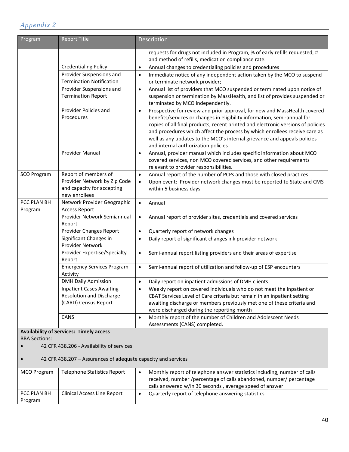| Program                | <b>Report Title</b>                                                                                 | Description                                                                                                                                                                                                                                                                                                                                                                                                                                             |
|------------------------|-----------------------------------------------------------------------------------------------------|---------------------------------------------------------------------------------------------------------------------------------------------------------------------------------------------------------------------------------------------------------------------------------------------------------------------------------------------------------------------------------------------------------------------------------------------------------|
|                        |                                                                                                     | requests for drugs not included in Program, % of early refills requested, #<br>and method of refills, medication compliance rate.                                                                                                                                                                                                                                                                                                                       |
|                        | <b>Credentialing Policy</b>                                                                         | Annual changes to credentialing policies and procedures<br>$\bullet$                                                                                                                                                                                                                                                                                                                                                                                    |
|                        | Provider Suspensions and<br><b>Termination Notification</b>                                         | Immediate notice of any independent action taken by the MCO to suspend<br>$\bullet$<br>or terminate network provider;                                                                                                                                                                                                                                                                                                                                   |
|                        | Provider Suspensions and<br><b>Termination Report</b>                                               | Annual list of providers that MCO suspended or terminated upon notice of<br>$\bullet$<br>suspension or termination by MassHealth, and list of provides suspended or<br>terminated by MCO independently.                                                                                                                                                                                                                                                 |
|                        | Provider Policies and<br>Procedures                                                                 | Prospective for review and prior approval, for new and MassHealth covered<br>$\bullet$<br>benefits/services or changes in eligibility information, semi-annual for<br>copies of all final products, recent printed and electronic versions of policies<br>and procedures which affect the process by which enrollees receive care as<br>well as any updates to the MCO's internal grievance and appeals policies<br>and internal authorization policies |
|                        | <b>Provider Manual</b>                                                                              | Annual, provider manual which includes specific information about MCO<br>$\bullet$<br>covered services, non MCO covered services, and other requirements<br>relevant to provider responsibilities.                                                                                                                                                                                                                                                      |
| <b>SCO Program</b>     | Report of members of<br>Provider Network by Zip Code<br>and capacity for accepting<br>new enrollees | Annual report of the number of PCPs and those with closed practices<br>$\bullet$<br>Upon event: Provider network changes must be reported to State and CMS<br>$\bullet$<br>within 5 business days                                                                                                                                                                                                                                                       |
| PCC PLAN BH<br>Program | Network Provider Geographic<br><b>Access Report</b>                                                 | $\bullet$<br>Annual                                                                                                                                                                                                                                                                                                                                                                                                                                     |
|                        | Provider Network Semiannual<br>Report                                                               | Annual report of provider sites, credentials and covered services<br>$\bullet$                                                                                                                                                                                                                                                                                                                                                                          |
|                        | Provider Changes Report                                                                             | Quarterly report of network changes<br>$\bullet$                                                                                                                                                                                                                                                                                                                                                                                                        |
|                        | Significant Changes in<br>Provider Network                                                          | Daily report of significant changes ink provider network<br>$\bullet$                                                                                                                                                                                                                                                                                                                                                                                   |
|                        | Provider Expertise/Specialty<br>Report                                                              | Semi-annual report listing providers and their areas of expertise<br>$\bullet$                                                                                                                                                                                                                                                                                                                                                                          |
|                        | <b>Emergency Services Program</b><br>Activity                                                       | Semi-annual report of utilization and follow-up of ESP encounters<br>$\bullet$                                                                                                                                                                                                                                                                                                                                                                          |
|                        | <b>DMH Daily Admission</b>                                                                          | $\bullet$<br>Daily report on inpatient admissions of DMH clients.                                                                                                                                                                                                                                                                                                                                                                                       |
|                        | <b>Inpatient Cases Awaiting</b><br>Resolution and Discharge<br>(CARD) Census Report                 | Weekly report on covered individuals who do not meet the Inpatient or<br>$\bullet$<br>CBAT Services Level of Care criteria but remain in an inpatient setting<br>awaiting discharge or members previously met one of these criteria and<br>were discharged during the reporting month                                                                                                                                                                   |
|                        | CANS                                                                                                | Monthly report of the number of Children and Adolescent Needs<br>$\bullet$<br>Assessments (CANS) completed.                                                                                                                                                                                                                                                                                                                                             |

#### **Availability of Services: Timely access** BBA Sections:

• 42 CFR 438.206 - Availability of services

• 42 CFR 438.207 – Assurances of adequate capacity and services

| <b>MCO</b> Program     | Telephone Statistics Report        | Monthly report of telephone answer statistics including, number of calls<br>received, number /percentage of calls abandoned, number/ percentage<br>calls answered w/in 30 seconds, average speed of answer |
|------------------------|------------------------------------|------------------------------------------------------------------------------------------------------------------------------------------------------------------------------------------------------------|
| PCC PLAN BH<br>Program | <b>Clinical Access Line Report</b> | Quarterly report of telephone answering statistics                                                                                                                                                         |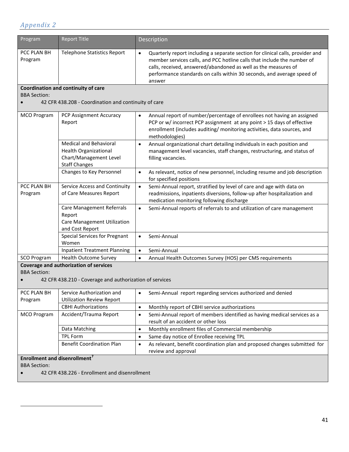<span id="page-40-0"></span> $\overline{\phantom{a}}$ 

| Program                                          | <b>Report Title</b>                                                                                             | Description                                                                                                                                                                                                                                                                                                                  |
|--------------------------------------------------|-----------------------------------------------------------------------------------------------------------------|------------------------------------------------------------------------------------------------------------------------------------------------------------------------------------------------------------------------------------------------------------------------------------------------------------------------------|
| PCC PLAN BH<br>Program                           | <b>Telephone Statistics Report</b>                                                                              | Quarterly report including a separate section for clinical calls, provider and<br>$\bullet$<br>member services calls, and PCC hotline calls that include the number of<br>calls, received, answered/abandoned as well as the measures of<br>performance standards on calls within 30 seconds, and average speed of<br>answer |
|                                                  | Coordination and continuity of care                                                                             |                                                                                                                                                                                                                                                                                                                              |
| <b>BBA Section:</b>                              |                                                                                                                 |                                                                                                                                                                                                                                                                                                                              |
|                                                  | 42 CFR 438.208 - Coordination and continuity of care                                                            |                                                                                                                                                                                                                                                                                                                              |
| <b>MCO Program</b>                               | PCP Assignment Accuracy<br>Report                                                                               | Annual report of number/percentage of enrollees not having an assigned<br>$\bullet$<br>PCP or w/ incorrect PCP assignment at any point > 15 days of effective<br>enrollment (includes auditing/ monitoring activities, data sources, and<br>methodologies)                                                                   |
|                                                  | <b>Medical and Behavioral</b><br><b>Health Organizational</b><br>Chart/Management Level<br><b>Staff Changes</b> | Annual organizational chart detailing individuals in each position and<br>$\bullet$<br>management level vacancies, staff changes, restructuring, and status of<br>filling vacancies.                                                                                                                                         |
|                                                  | Changes to Key Personnel                                                                                        | As relevant, notice of new personnel, including resume and job description<br>$\bullet$<br>for specified positions                                                                                                                                                                                                           |
| PCC PLAN BH<br>Program                           | Service Access and Continuity<br>of Care Measures Report                                                        | Semi-Annual report, stratified by level of care and age with data on<br>$\bullet$<br>readmissions, inpatients diversions, follow-up after hospitalization and<br>medication monitoring following discharge                                                                                                                   |
|                                                  | Care Management Referrals<br>Report<br>Care Management Utilization<br>and Cost Report                           | Semi-Annual reports of referrals to and utilization of care management<br>$\bullet$                                                                                                                                                                                                                                          |
|                                                  | <b>Special Services for Pregnant</b><br>Women                                                                   | Semi-Annual<br>$\bullet$                                                                                                                                                                                                                                                                                                     |
|                                                  | <b>Inpatient Treatment Planning</b>                                                                             | $\bullet$<br>Semi-Annual                                                                                                                                                                                                                                                                                                     |
| SCO Program                                      | <b>Health Outcome Survey</b>                                                                                    | Annual Health Outcomes Survey (HOS) per CMS requirements<br>$\bullet$                                                                                                                                                                                                                                                        |
|                                                  | Coverage and authorization of services                                                                          |                                                                                                                                                                                                                                                                                                                              |
| <b>BBA Section:</b>                              |                                                                                                                 |                                                                                                                                                                                                                                                                                                                              |
|                                                  | 42 CFR 438.210 - Coverage and authorization of services                                                         |                                                                                                                                                                                                                                                                                                                              |
| PCC PLAN BH                                      | Service Authorization and                                                                                       | Semi-Annual report regarding services authorized and denied<br>٠                                                                                                                                                                                                                                                             |
| Program                                          | <b>Utilization Review Report</b>                                                                                |                                                                                                                                                                                                                                                                                                                              |
|                                                  | <b>CBHI Authorizations</b>                                                                                      | Monthly report of CBHI service authorizations<br>$\bullet$                                                                                                                                                                                                                                                                   |
| <b>MCO Program</b>                               | Accident/Trauma Report                                                                                          | Semi-Annual report of members identified as having medical services as a<br>$\bullet$<br>result of an accident or other loss                                                                                                                                                                                                 |
|                                                  | Data Matching                                                                                                   | Monthly enrollment files of Commercial membership<br>$\bullet$                                                                                                                                                                                                                                                               |
|                                                  | <b>TPL Form</b>                                                                                                 | Same day notice of Enrollee receiving TPL<br>$\bullet$                                                                                                                                                                                                                                                                       |
|                                                  | <b>Benefit Coordination Plan</b>                                                                                | As relevant, benefit coordination plan and proposed changes submitted for<br>$\bullet$<br>review and approval                                                                                                                                                                                                                |
| <b>Enrollment and disenrollment</b> <sup>7</sup> |                                                                                                                 |                                                                                                                                                                                                                                                                                                                              |
| <b>BBA Section:</b>                              |                                                                                                                 |                                                                                                                                                                                                                                                                                                                              |
|                                                  | 42 CFR 438.226 - Enrollment and disenrollment                                                                   |                                                                                                                                                                                                                                                                                                                              |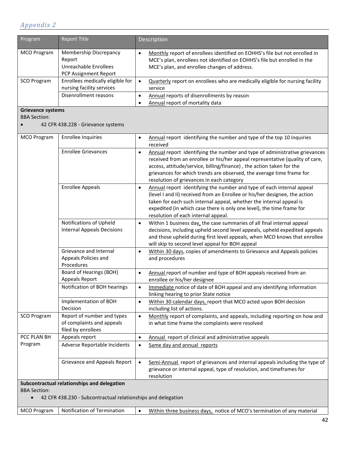| Program                          | <b>Report Title</b>                                                                                         | Description                                                                                                                                                                                                                                                                                                                                                          |
|----------------------------------|-------------------------------------------------------------------------------------------------------------|----------------------------------------------------------------------------------------------------------------------------------------------------------------------------------------------------------------------------------------------------------------------------------------------------------------------------------------------------------------------|
| <b>MCO Program</b>               | Membership Discrepancy<br>Report<br>Unreachable Enrollees<br>PCP Assignment Report                          | Monthly report of enrollees identified on EOHHS's file but not enrolled in<br>$\bullet$<br>MCE's plan, enrollees not identified on EOHHS's file but enrolled in the<br>MCE's plan, and enrollee changes of address.                                                                                                                                                  |
| <b>SCO Program</b>               | Enrollees medically eligible for<br>nursing facility services                                               | Quarterly report on enrollees who are medically eligible for nursing facility<br>$\bullet$<br>service                                                                                                                                                                                                                                                                |
|                                  | Disenrollment reasons                                                                                       | Annual reports of disenrollments by reason<br>$\bullet$<br>Annual report of mortality data<br>$\bullet$                                                                                                                                                                                                                                                              |
| <b>Grievance systems</b>         |                                                                                                             |                                                                                                                                                                                                                                                                                                                                                                      |
| <b>BBA Section:</b>              |                                                                                                             |                                                                                                                                                                                                                                                                                                                                                                      |
|                                  | 42 CFR 438.228 - Grievance systems                                                                          |                                                                                                                                                                                                                                                                                                                                                                      |
| <b>MCO Program</b>               | <b>Enrollee Inquiries</b>                                                                                   | Annual report identifying the number and type of the top 10 inquiries<br>$\bullet$<br>received                                                                                                                                                                                                                                                                       |
|                                  | <b>Enrollee Grievances</b>                                                                                  | Annual report identifying the number and type of administrative grievances<br>$\bullet$<br>received from an enrollee or his/her appeal representative (quality of care,<br>access, attitude/service, billing/finance), the action taken for the<br>grievances for which trends are observed, the average time frame for<br>resolution of grievances in each category |
|                                  | <b>Enrollee Appeals</b>                                                                                     | Annual report identifying the number and type of each internal appeal<br>$\bullet$<br>(level I and II) received from an Enrollee or his/her designee, the action<br>taken for each such internal appeal, whether the internal appeal is<br>expedited (in which case there is only one level), the time frame for<br>resolution of each internal appeal.              |
|                                  | Notifications of Upheld<br><b>Internal Appeals Decisions</b>                                                | Within 1 business day, the case summaries of all final internal appeal<br>$\bullet$<br>decisions, including upheld second level appeals, upheld expedited appeals<br>and those upheld during first level appeals, when MCO knows that enrollee<br>will skip to second level appeal for BOH appeal                                                                    |
|                                  | Grievance and Internal<br>Appeals Policies and<br>Procedures                                                | Within 30 days, copies of amendments to Grievance and Appeals policies<br>$\bullet$<br>and procedures                                                                                                                                                                                                                                                                |
|                                  | Board of Hearings (BOH)<br>Appeals Report                                                                   | Annual report of number and type of BOH appeals received from an<br>$\bullet$<br>enrollee or his/her designee                                                                                                                                                                                                                                                        |
|                                  | Notification of BOH hearings                                                                                | Immediate notice of date of BOH appeal and any identifying information<br>$\bullet$<br>linking hearing to prior State notice                                                                                                                                                                                                                                         |
|                                  | Implementation of BOH<br>Decision                                                                           | Within 30 calendar days, report that MCO acted upon BOH decision<br>$\bullet$<br>including list of actions.                                                                                                                                                                                                                                                          |
| <b>SCO Program</b>               | Report of number and types<br>of complaints and appeals<br>filed by enrollees                               | Monthly report of complaints, and appeals, including reporting on how and<br>$\bullet$<br>in what time frame the complaints were resolved                                                                                                                                                                                                                            |
| PCC PLAN BH                      | Appeals report                                                                                              | Annual report of clinical and administrative appeals<br>$\bullet$                                                                                                                                                                                                                                                                                                    |
| Program                          | Adverse Reportable Incidents                                                                                | Same day and annual reports<br>$\bullet$                                                                                                                                                                                                                                                                                                                             |
|                                  | Grievance and Appeals Report                                                                                | Semi-Annual report of grievances and internal appeals including the type of<br>$\bullet$<br>grievance or internal appeal, type of resolution, and timeframes for<br>resolution                                                                                                                                                                                       |
| <b>BBA Section:</b><br>$\bullet$ | Subcontractual relationships and delegation<br>42 CFR 438.230 - Subcontractual relationships and delegation |                                                                                                                                                                                                                                                                                                                                                                      |

| MCO Program<br>Notification of Termination | Within three business days, notice of MCO's termination of any material |
|--------------------------------------------|-------------------------------------------------------------------------|
|--------------------------------------------|-------------------------------------------------------------------------|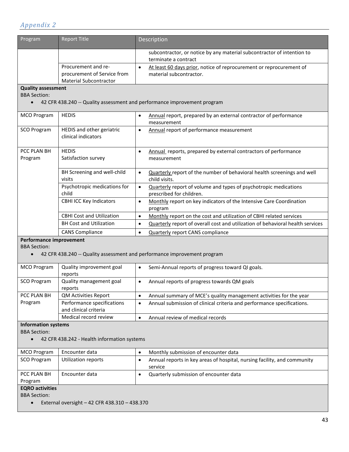| Program                                                    | <b>Report Title</b>                                                                 |           | Description                                                                                    |  |
|------------------------------------------------------------|-------------------------------------------------------------------------------------|-----------|------------------------------------------------------------------------------------------------|--|
|                                                            |                                                                                     |           | subcontractor, or notice by any material subcontractor of intention to<br>terminate a contract |  |
|                                                            | Procurement and re-<br>procurement of Service from<br><b>Material Subcontractor</b> | $\bullet$ | At least 60 days prior, notice of reprocurement or reprocurement of<br>material subcontractor. |  |
| <b>Quality assessment</b><br><b>BBA Section:</b>           |                                                                                     |           |                                                                                                |  |
|                                                            | 42 CFR 438.240 -- Quality assessment and performance improvement program            |           |                                                                                                |  |
| <b>MCO Program</b>                                         | <b>HEDIS</b>                                                                        | $\bullet$ | Annual report, prepared by an external contractor of performance<br>measurement                |  |
| <b>SCO Program</b>                                         | HEDIS and other geriatric<br>clinical indicators                                    | $\bullet$ | Annual report of performance measurement                                                       |  |
| PCC PLAN BH<br>Program                                     | <b>HEDIS</b><br>Satisfaction survey                                                 | $\bullet$ | Annual reports, prepared by external contractors of performance<br>measurement                 |  |
|                                                            | BH Screening and well-child<br>visits                                               | $\bullet$ | Quarterly report of the number of behavioral health screenings and well<br>child visits.       |  |
|                                                            | Psychotropic medications for<br>child                                               | $\bullet$ | Quarterly report of volume and types of psychotropic medications<br>prescribed for children.   |  |
|                                                            | <b>CBHI ICC Key Indicators</b>                                                      | $\bullet$ | Monthly report on key indicators of the Intensive Care Coordination<br>program                 |  |
|                                                            | <b>CBHI Cost and Utilization</b>                                                    | $\bullet$ | Monthly report on the cost and utilization of CBHI related services                            |  |
|                                                            | <b>BH Cost and Utilization</b>                                                      | $\bullet$ | Quarterly report of overall cost and utilization of behavioral health services                 |  |
|                                                            | <b>CANS Compliance</b>                                                              | $\bullet$ | <b>Quarterly report CANS compliance</b>                                                        |  |
| Performance improvement                                    |                                                                                     |           |                                                                                                |  |
| <b>BBA Section:</b><br>$\bullet$                           | 42 CFR 438.240 -- Quality assessment and performance improvement program            |           |                                                                                                |  |
| <b>MCO Program</b>                                         | Quality improvement goal<br>reports                                                 | $\bullet$ | Semi-Annual reports of progress toward QI goals.                                               |  |
| <b>SCO Program</b>                                         | Quality management goal<br>reports                                                  | $\bullet$ | Annual reports of progress towards QM goals                                                    |  |
| PCC PLAN BH                                                | <b>QM Activities Report</b>                                                         | $\bullet$ | Annual summary of MCE's quality management activities for the year                             |  |
| Program                                                    | Performance specifications<br>and clinical criteria                                 | $\bullet$ | Annual submission of clinical criteria and performance specifications.                         |  |
|                                                            | Medical record review                                                               | $\bullet$ | Annual review of medical records                                                               |  |
| <b>Information systems</b><br><b>BBA Section:</b>          |                                                                                     |           |                                                                                                |  |
| $\bullet$                                                  | 42 CFR 438.242 - Health information systems                                         |           |                                                                                                |  |
| <b>MCO Program</b>                                         | Encounter data                                                                      | $\bullet$ | Monthly submission of encounter data                                                           |  |
| <b>SCO Program</b>                                         | <b>Utilization reports</b>                                                          | $\bullet$ | Annual reports in key areas of hospital, nursing facility, and community<br>service            |  |
| PCC PLAN BH<br>Program                                     | Encounter data                                                                      | $\bullet$ | Quarterly submission of encounter data                                                         |  |
| <b>EQRO</b> activities                                     |                                                                                     |           |                                                                                                |  |
| <b>BBA Section:</b>                                        |                                                                                     |           |                                                                                                |  |
| External oversight - 42 CFR 438.310 - 438.370<br>$\bullet$ |                                                                                     |           |                                                                                                |  |